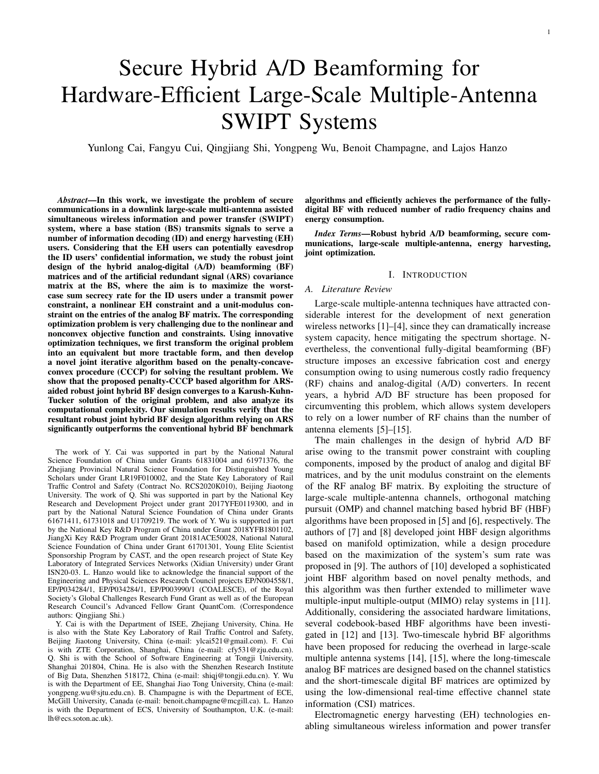# Secure Hybrid A/D Beamforming for Hardware-Efficient Large-Scale Multiple-Antenna SWIPT Systems

Yunlong Cai, Fangyu Cui, Qingjiang Shi, Yongpeng Wu, Benoit Champagne, and Lajos Hanzo

*Abstract*—In this work, we investigate the problem of secure communications in a downlink large-scale multi-antenna assisted simultaneous wireless information and power transfer (SWIPT) system, where a base station (BS) transmits signals to serve a number of information decoding (ID) and energy harvesting (EH) users. Considering that the EH users can potentially eavesdrop the ID users' confidential information, we study the robust joint design of the hybrid analog-digital (A/D) beamforming (BF) matrices and of the artificial redundant signal (ARS) covariance matrix at the BS, where the aim is to maximize the worstcase sum secrecy rate for the ID users under a transmit power constraint, a nonlinear EH constraint and a unit-modulus constraint on the entries of the analog BF matrix. The corresponding optimization problem is very challenging due to the nonlinear and nonconvex objective function and constraints. Using innovative optimization techniques, we first transform the original problem into an equivalent but more tractable form, and then develop a novel joint iterative algorithm based on the penalty-concaveconvex procedure (CCCP) for solving the resultant problem. We show that the proposed penalty-CCCP based algorithm for ARSaided robust joint hybrid BF design converges to a Karush-Kuhn-Tucker solution of the original problem, and also analyze its computational complexity. Our simulation results verify that the resultant robust joint hybrid BF design algorithm relying on ARS significantly outperforms the conventional hybrid BF benchmark

The work of Y. Cai was supported in part by the National Natural Science Foundation of China under Grants 61831004 and 61971376, the Zhejiang Provincial Natural Science Foundation for Distinguished Young Scholars under Grant LR19F010002, and the State Key Laboratory of Rail Traffic Control and Safety (Contract No. RCS2020K010), Beijing Jiaotong University. The work of Q. Shi was supported in part by the National Key Research and Development Project under grant 2017YFE0119300, and in part by the National Natural Science Foundation of China under Grants 61671411, 61731018 and U1709219. The work of Y. Wu is supported in part by the National Key R&D Program of China under Grant 2018YFB1801102, JiangXi Key R&D Program under Grant 20181ACE50028, National Natural Science Foundation of China under Grant 61701301, Young Elite Scientist Sponsorship Program by CAST, and the open research project of State Key Laboratory of Integrated Services Networks (Xidian University) under Grant ISN20-03. L. Hanzo would like to acknowledge the financial support of the Engineering and Physical Sciences Research Council projects EP/N004558/1, EP/P034284/1, EP/P034284/1, EP/P003990/1 (COALESCE), of the Royal Society's Global Challenges Research Fund Grant as well as of the European Research Council's Advanced Fellow Grant QuantCom. (Correspondence authors: Qingjiang Shi.)

Y. Cai is with the Department of ISEE, Zhejiang University, China. He is also with the State Key Laboratory of Rail Traffic Control and Safety, Beijing Jiaotong University, China (e-mail: ylcai521@gmail.com). F. Cui is with ZTE Corporation, Shanghai, China (e-mail: cfy531@zju.edu.cn). Q. Shi is with the School of Software Engineering at Tongji University, Shanghai 201804, China. He is also with the Shenzhen Research Institute of Big Data, Shenzhen 518172, China (e-mail: shiqj@tongji.edu.cn). Y. Wu is with the Department of EE, Shanghai Jiao Tong University, China (e-mail: yongpeng.wu@sjtu.edu.cn). B. Champagne is with the Department of ECE, McGill University, Canada (e-mail: benoit.champagne@mcgill.ca). L. Hanzo is with the Department of ECS, University of Southampton, U.K. (e-mail: lh@ecs.soton.ac.uk).

algorithms and efficiently achieves the performance of the fullydigital BF with reduced number of radio frequency chains and energy consumption.

*Index Terms*—Robust hybrid A/D beamforming, secure communications, large-scale multiple-antenna, energy harvesting, joint optimization.

### I. INTRODUCTION

# *A. Literature Review*

Large-scale multiple-antenna techniques have attracted considerable interest for the development of next generation wireless networks [1]–[4], since they can dramatically increase system capacity, hence mitigating the spectrum shortage. Nevertheless, the conventional fully-digital beamforming (BF) structure imposes an excessive fabrication cost and energy consumption owing to using numerous costly radio frequency (RF) chains and analog-digital (A/D) converters. In recent years, a hybrid A/D BF structure has been proposed for circumventing this problem, which allows system developers to rely on a lower number of RF chains than the number of antenna elements [5]–[15].

The main challenges in the design of hybrid A/D BF arise owing to the transmit power constraint with coupling components, imposed by the product of analog and digital BF matrices, and by the unit modulus constraint on the elements of the RF analog BF matrix. By exploiting the structure of large-scale multiple-antenna channels, orthogonal matching pursuit (OMP) and channel matching based hybrid BF (HBF) algorithms have been proposed in [5] and [6], respectively. The authors of [7] and [8] developed joint HBF design algorithms based on manifold optimization, while a design procedure based on the maximization of the system's sum rate was proposed in [9]. The authors of [10] developed a sophisticated joint HBF algorithm based on novel penalty methods, and this algorithm was then further extended to millimeter wave multiple-input multiple-output (MIMO) relay systems in [11]. Additionally, considering the associated hardware limitations, several codebook-based HBF algorithms have been investigated in [12] and [13]. Two-timescale hybrid BF algorithms have been proposed for reducing the overhead in large-scale multiple antenna systems [14], [15], where the long-timescale analog BF matrices are designed based on the channel statistics and the short-timescale digital BF matrices are optimized by using the low-dimensional real-time effective channel state information (CSI) matrices.

Electromagnetic energy harvesting (EH) technologies enabling simultaneous wireless information and power transfer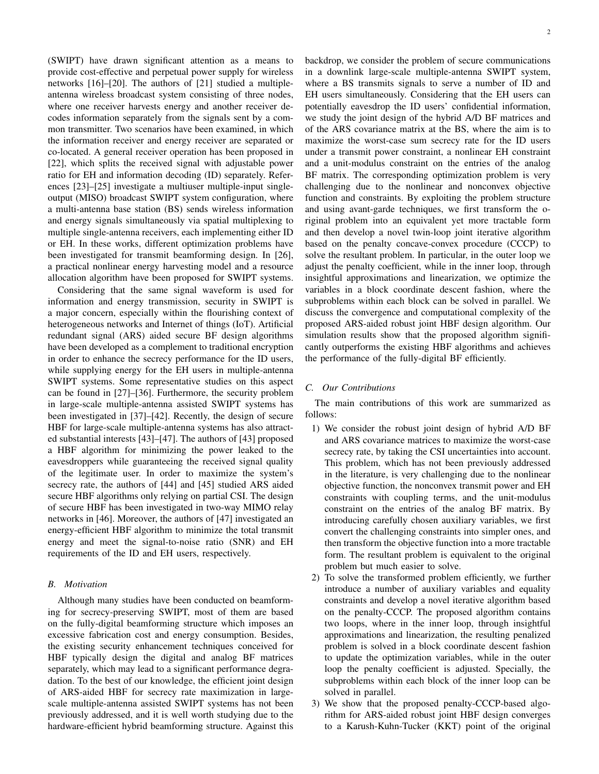(SWIPT) have drawn significant attention as a means to provide cost-effective and perpetual power supply for wireless networks [16]–[20]. The authors of [21] studied a multipleantenna wireless broadcast system consisting of three nodes, where one receiver harvests energy and another receiver decodes information separately from the signals sent by a common transmitter. Two scenarios have been examined, in which the information receiver and energy receiver are separated or co-located. A general receiver operation has been proposed in [22], which splits the received signal with adjustable power ratio for EH and information decoding (ID) separately. References [23]–[25] investigate a multiuser multiple-input singleoutput (MISO) broadcast SWIPT system configuration, where a multi-antenna base station (BS) sends wireless information and energy signals simultaneously via spatial multiplexing to multiple single-antenna receivers, each implementing either ID or EH. In these works, different optimization problems have been investigated for transmit beamforming design. In [26], a practical nonlinear energy harvesting model and a resource allocation algorithm have been proposed for SWIPT systems.

Considering that the same signal waveform is used for information and energy transmission, security in SWIPT is a major concern, especially within the flourishing context of heterogeneous networks and Internet of things (IoT). Artificial redundant signal (ARS) aided secure BF design algorithms have been developed as a complement to traditional encryption in order to enhance the secrecy performance for the ID users, while supplying energy for the EH users in multiple-antenna SWIPT systems. Some representative studies on this aspect can be found in [27]–[36]. Furthermore, the security problem in large-scale multiple-antenna assisted SWIPT systems has been investigated in [37]–[42]. Recently, the design of secure HBF for large-scale multiple-antenna systems has also attracted substantial interests [43]–[47]. The authors of [43] proposed a HBF algorithm for minimizing the power leaked to the eavesdroppers while guaranteeing the received signal quality of the legitimate user. In order to maximize the system's secrecy rate, the authors of [44] and [45] studied ARS aided secure HBF algorithms only relying on partial CSI. The design of secure HBF has been investigated in two-way MIMO relay networks in [46]. Moreover, the authors of [47] investigated an energy-efficient HBF algorithm to minimize the total transmit energy and meet the signal-to-noise ratio (SNR) and EH requirements of the ID and EH users, respectively.

# *B. Motivation*

Although many studies have been conducted on beamforming for secrecy-preserving SWIPT, most of them are based on the fully-digital beamforming structure which imposes an excessive fabrication cost and energy consumption. Besides, the existing security enhancement techniques conceived for HBF typically design the digital and analog BF matrices separately, which may lead to a significant performance degradation. To the best of our knowledge, the efficient joint design of ARS-aided HBF for secrecy rate maximization in largescale multiple-antenna assisted SWIPT systems has not been previously addressed, and it is well worth studying due to the hardware-efficient hybrid beamforming structure. Against this

backdrop, we consider the problem of secure communications in a downlink large-scale multiple-antenna SWIPT system, where a BS transmits signals to serve a number of ID and EH users simultaneously. Considering that the EH users can potentially eavesdrop the ID users' confidential information, we study the joint design of the hybrid A/D BF matrices and of the ARS covariance matrix at the BS, where the aim is to maximize the worst-case sum secrecy rate for the ID users under a transmit power constraint, a nonlinear EH constraint and a unit-modulus constraint on the entries of the analog BF matrix. The corresponding optimization problem is very challenging due to the nonlinear and nonconvex objective function and constraints. By exploiting the problem structure and using avant-garde techniques, we first transform the original problem into an equivalent yet more tractable form and then develop a novel twin-loop joint iterative algorithm based on the penalty concave-convex procedure (CCCP) to solve the resultant problem. In particular, in the outer loop we adjust the penalty coefficient, while in the inner loop, through insightful approximations and linearization, we optimize the variables in a block coordinate descent fashion, where the subproblems within each block can be solved in parallel. We discuss the convergence and computational complexity of the proposed ARS-aided robust joint HBF design algorithm. Our simulation results show that the proposed algorithm significantly outperforms the existing HBF algorithms and achieves the performance of the fully-digital BF efficiently.

## *C. Our Contributions*

The main contributions of this work are summarized as follows:

- 1) We consider the robust joint design of hybrid A/D BF and ARS covariance matrices to maximize the worst-case secrecy rate, by taking the CSI uncertainties into account. This problem, which has not been previously addressed in the literature, is very challenging due to the nonlinear objective function, the nonconvex transmit power and EH constraints with coupling terms, and the unit-modulus constraint on the entries of the analog BF matrix. By introducing carefully chosen auxiliary variables, we first convert the challenging constraints into simpler ones, and then transform the objective function into a more tractable form. The resultant problem is equivalent to the original problem but much easier to solve.
- 2) To solve the transformed problem efficiently, we further introduce a number of auxiliary variables and equality constraints and develop a novel iterative algorithm based on the penalty-CCCP. The proposed algorithm contains two loops, where in the inner loop, through insightful approximations and linearization, the resulting penalized problem is solved in a block coordinate descent fashion to update the optimization variables, while in the outer loop the penalty coefficient is adjusted. Specially, the subproblems within each block of the inner loop can be solved in parallel.
- 3) We show that the proposed penalty-CCCP-based algorithm for ARS-aided robust joint HBF design converges to a Karush-Kuhn-Tucker (KKT) point of the original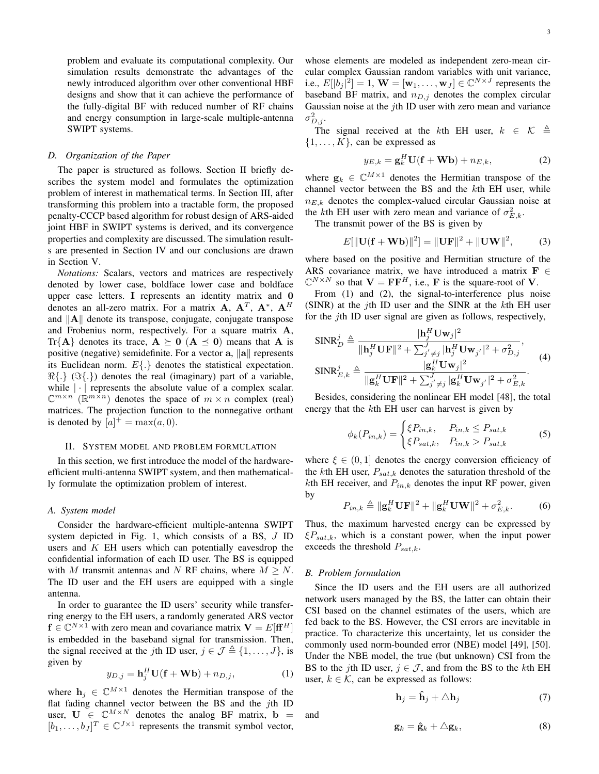problem and evaluate its computational complexity. Our simulation results demonstrate the advantages of the newly introduced algorithm over other conventional HBF designs and show that it can achieve the performance of the fully-digital BF with reduced number of RF chains and energy consumption in large-scale multiple-antenna SWIPT systems.

## *D. Organization of the Paper*

The paper is structured as follows. Section II briefly describes the system model and formulates the optimization problem of interest in mathematical terms. In Section III, after transforming this problem into a tractable form, the proposed penalty-CCCP based algorithm for robust design of ARS-aided joint HBF in SWIPT systems is derived, and its convergence properties and complexity are discussed. The simulation results are presented in Section IV and our conclusions are drawn in Section V.

*Notations:* Scalars, vectors and matrices are respectively denoted by lower case, boldface lower case and boldface upper case letters. **I** represents an identity matrix and **0** denotes an all-zero matrix. For a matrix  $\mathbf{A}$ ,  $\mathbf{A}^T$ ,  $\mathbf{A}^*$ ,  $\mathbf{A}^H$ and *∥***A***∥* denote its transpose, conjugate, conjugate transpose and Frobenius norm, respectively. For a square matrix **A**,  $Tr{A}$  denotes its trace,  $A \succeq 0$  ( $A \preceq 0$ ) means that A is positive (negative) semidefinite. For a vector **a**, *∥***a***∥* represents its Euclidean norm. *E{.}* denotes the statistical expectation. *ℜ{.}* (*ℑ{.}*) denotes the real (imaginary) part of a variable, while  $|\cdot|$  represents the absolute value of a complex scalar.  $\mathbb{C}^{m \times n}$  ( $\mathbb{R}^{m \times n}$ ) denotes the space of  $m \times n$  complex (real) matrices. The projection function to the nonnegative orthant is denoted by  $[a]^+ = \max(a, 0)$ .

## II. SYSTEM MODEL AND PROBLEM FORMULATION

In this section, we first introduce the model of the hardwareefficient multi-antenna SWIPT system, and then mathematically formulate the optimization problem of interest.

## *A. System model*

Consider the hardware-efficient multiple-antenna SWIPT system depicted in Fig. 1, which consists of a BS, *J* ID users and *K* EH users which can potentially eavesdrop the confidential information of each ID user. The BS is equipped with *M* transmit antennas and *N* RF chains, where  $M \geq N$ . The ID user and the EH users are equipped with a single antenna.

In order to guarantee the ID users' security while transferring energy to the EH users, a randomly generated ARS vector  $f \in \mathbb{C}^{N \times 1}$  with zero mean and covariance matrix  $V = E[\mathbf{f}^H]$ is embedded in the baseband signal for transmission. Then, the signal received at the *j*th ID user,  $j \in \mathcal{J} \triangleq \{1, \ldots, J\}$ , is given by

$$
y_{D,j} = \mathbf{h}_j^H \mathbf{U}(\mathbf{f} + \mathbf{Wb}) + n_{D,j},
$$
 (1)

where  $\mathbf{h}_j \in \mathbb{C}^{M \times 1}$  denotes the Hermitian transpose of the flat fading channel vector between the BS and the *j*th ID user,  $U \in \mathbb{C}^{M \times N}$  denotes the analog BF matrix,  $\mathbf{b} =$  $[b_1, \ldots, b_J]^T \in \mathbb{C}^{J \times 1}$  represents the transmit symbol vector, whose elements are modeled as independent zero-mean circular complex Gaussian random variables with unit variance, i.e.,  $E[|b_j|^2] = 1$ ,  $\mathbf{W} = [\mathbf{w}_1, \dots, \mathbf{w}_J] \in \mathbb{C}^{N \times J}$  represents the baseband BF matrix, and *nD,j* denotes the complex circular Gaussian noise at the *j*th ID user with zero mean and variance  $\sigma_{D,j}^2$ .

The signal received at the *k*th EH user,  $k \in \mathcal{K} \triangleq$  $\{1, \ldots, K\}$ , can be expressed as

$$
y_{E,k} = \mathbf{g}_k^H \mathbf{U}(\mathbf{f} + \mathbf{W}\mathbf{b}) + n_{E,k},
$$
 (2)

where  $\mathbf{g}_k \in \mathbb{C}^{M \times 1}$  denotes the Hermitian transpose of the channel vector between the BS and the *k*th EH user, while  $n_{E,k}$  denotes the complex-valued circular Gaussian noise at the *k*th EH user with zero mean and variance of  $\sigma_{E,k}^2$ .

The transmit power of the BS is given by

$$
E[\|\mathbf{U}(\mathbf{f} + \mathbf{W}\mathbf{b})\|^2] = \|\mathbf{U}\mathbf{F}\|^2 + \|\mathbf{U}\mathbf{W}\|^2, \tag{3}
$$

where based on the positive and Hermitian structure of the ARS covariance matrix, we have introduced a matrix **F** *∈*  $\mathbb{C}^{N \times N}$  so that  $\mathbf{V} = \mathbf{FF}^{H}$ , i.e., **F** is the square-root of **V**.

From (1) and (2), the signal-to-interference plus noise (SINR) at the *j*th ID user and the SINR at the *k*th EH user for the *j*th ID user signal are given as follows, respectively,

$$
\begin{aligned}\n\text{SINR}_{D}^{j} &\triangleq \frac{|\mathbf{h}_{j}^{H}\mathbf{U}\mathbf{w}_{j}|^{2}}{\|\mathbf{h}_{j}^{H}\mathbf{U}\mathbf{F}\|^{2} + \sum_{j'\neq j}^{J} |\mathbf{h}_{j}^{H}\mathbf{U}\mathbf{w}_{j'}|^{2} + \sigma_{D,j}^{2}}, \\
\text{SINR}_{E,k}^{j} &\triangleq \frac{|\mathbf{g}_{k}^{H}\mathbf{U}\mathbf{w}_{j}|^{2}}{\|\mathbf{g}_{k}^{H}\mathbf{U}\mathbf{F}\|^{2} + \sum_{j'\neq j}^{J} |\mathbf{g}_{k}^{H}\mathbf{U}\mathbf{w}_{j'}|^{2} + \sigma_{E,k}^{2}}.\n\end{aligned} \tag{4}
$$

Besides, considering the nonlinear EH model [48], the total energy that the *k*th EH user can harvest is given by

$$
\phi_k(P_{in,k}) = \begin{cases} \xi P_{in,k}, & P_{in,k} \le P_{sat,k} \\ \xi P_{sat,k}, & P_{in,k} > P_{sat,k} \end{cases}
$$
 (5)

where  $\xi \in (0,1]$  denotes the energy conversion efficiency of the *k*th EH user,  $P_{sat,k}$  denotes the saturation threshold of the *k*th EH receiver, and  $P_{in,k}$  denotes the input RF power, given by

$$
P_{in,k} \triangleq \|\mathbf{g}_k^H \mathbf{U} \mathbf{F}\|^2 + \|\mathbf{g}_k^H \mathbf{U} \mathbf{W}\|^2 + \sigma_{E,k}^2.
$$
 (6)

Thus, the maximum harvested energy can be expressed by *ξPsat,k*, which is a constant power, when the input power exceeds the threshold *Psat,k*.

#### *B. Problem formulation*

Since the ID users and the EH users are all authorized network users managed by the BS, the latter can obtain their CSI based on the channel estimates of the users, which are fed back to the BS. However, the CSI errors are inevitable in practice. To characterize this uncertainty, let us consider the commonly used norm-bounded error (NBE) model [49], [50]. Under the NBE model, the true (but unknown) CSI from the BS to the *j*th ID user,  $j \in J$ , and from the BS to the *k*th EH user,  $k \in \mathcal{K}$ , can be expressed as follows:

$$
\mathbf{h}_j = \hat{\mathbf{h}}_j + \triangle \mathbf{h}_j \tag{7}
$$

and

$$
\mathbf{g}_k = \hat{\mathbf{g}}_k + \triangle \mathbf{g}_k, \tag{8}
$$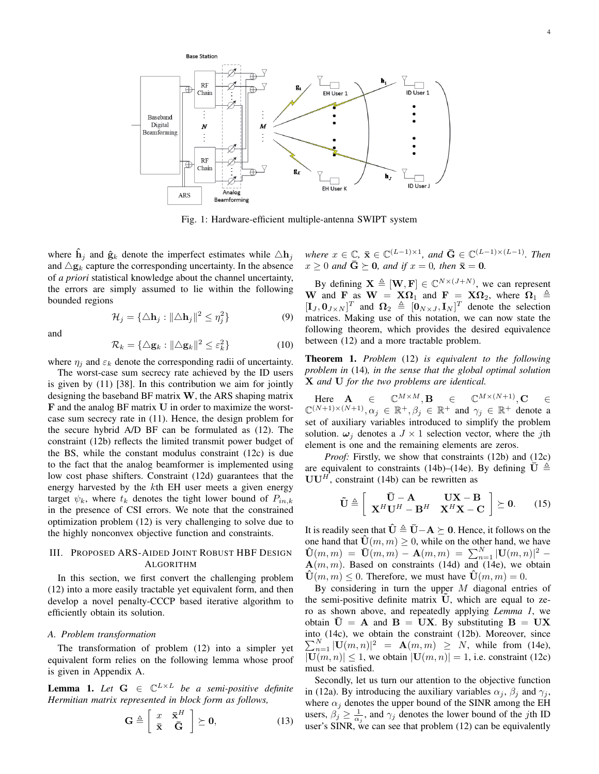

Fig. 1: Hardware-efficient multiple-antenna SWIPT system

where  $\mathbf{h}_j$  and  $\hat{\mathbf{g}}_k$  denote the imperfect estimates while  $\triangle \mathbf{h}_j$ and  $\Delta$ **g**<sub>*k*</sub> capture the corresponding uncertainty. In the absence of *a priori* statistical knowledge about the channel uncertainty, the errors are simply assumed to lie within the following bounded regions

$$
\mathcal{H}_j = \{ \triangle \mathbf{h}_j : ||\triangle \mathbf{h}_j||^2 \le \eta_j^2 \}
$$
\n(9)

and

$$
\mathcal{R}_k = \{ \Delta \mathbf{g}_k : ||\Delta \mathbf{g}_k||^2 \le \varepsilon_k^2 \}
$$
 (10)

where  $\eta_i$  and  $\varepsilon_k$  denote the corresponding radii of uncertainty.

The worst-case sum secrecy rate achieved by the ID users is given by (11) [38]. In this contribution we aim for jointly designing the baseband BF matrix **W**, the ARS shaping matrix **F** and the analog BF matrix **U** in order to maximize the worstcase sum secrecy rate in (11). Hence, the design problem for the secure hybrid A/D BF can be formulated as (12). The constraint (12b) reflects the limited transmit power budget of the BS, while the constant modulus constraint (12c) is due to the fact that the analog beamformer is implemented using low cost phase shifters. Constraint (12d) guarantees that the energy harvested by the *k*th EH user meets a given energy target  $\psi_k$ , where  $t_k$  denotes the tight lower bound of  $P_{in,k}$ in the presence of CSI errors. We note that the constrained optimization problem (12) is very challenging to solve due to the highly nonconvex objective function and constraints.

# III. PROPOSED ARS-AIDED JOINT ROBUST HBF DESIGN ALGORITHM

In this section, we first convert the challenging problem (12) into a more easily tractable yet equivalent form, and then develop a novel penalty-CCCP based iterative algorithm to efficiently obtain its solution.

# *A. Problem transformation*

The transformation of problem (12) into a simpler yet equivalent form relies on the following lemma whose proof is given in Appendix A.

**Lemma 1.** Let  $G \in \mathbb{C}^{L \times L}$  be a semi-positive definite *Hermitian matrix represented in block form as follows,*

$$
\mathbf{G} \triangleq \left[ \begin{array}{cc} x & \bar{\mathbf{x}}^H \\ \bar{\mathbf{x}} & \bar{\mathbf{G}} \end{array} \right] \succeq \mathbf{0},\tag{13}
$$

 $where \ x \in \mathbb{C}, \ \bar{\mathbf{x}} \in \mathbb{C}^{(L-1)\times 1}, \ and \ \bar{\mathbf{G}} \in \mathbb{C}^{(L-1)\times (L-1)}.$  Then  $x > 0$  *and*  $\overline{G} \succeq 0$ *, and if*  $x = 0$ *, then*  $\overline{x} = 0$ *.* 

By defining  $\mathbf{X} \triangleq [\mathbf{W}, \mathbf{F}] \in \mathbb{C}^{N \times (J+N)}$ , we can represent **W** and **F** as  $W = X\Omega_1$  and  $F = X\Omega_2$ , where  $\Omega_1 \triangleq$  $[\mathbf{I}_J, \mathbf{0}_{J \times N}]^T$  and  $\Omega_2 \triangleq [\mathbf{0}_{N \times J}, \mathbf{I}_N]^T$  denote the selection matrices. Making use of this notation, we can now state the following theorem, which provides the desired equivalence between (12) and a more tractable problem.

Theorem 1. *Problem* (12) *is equivalent to the following problem in* (14)*, in the sense that the global optimal solution* **X** *and* **U** *for the two problems are identical.*

 $\mathbf{H}$ **ere**  $\mathbf{A}$   $\in \mathbb{C}^{M \times M}, \mathbf{B}$   $\in \mathbb{C}^{M \times (N+1)}, \mathbf{C}$   $\in \mathbb{C}^{M \times (N+1)}$  $\mathbb{C}^{(N+1)\times(N+1)}$ ,  $\alpha_j \in \mathbb{R}^+$ ,  $\beta_j \in \mathbb{R}^+$  and  $\gamma_j \in \mathbb{R}^+$  denote a set of auxiliary variables introduced to simplify the problem solution.  $\omega_i$  denotes a  $J \times 1$  selection vector, where the *j*th element is one and the remaining elements are zeros.

*Proof:* Firstly, we show that constraints (12b) and (12c) are equivalent to constraints (14b)–(14e). By defining  $\overline{U} \triangleq$  $UU<sup>H</sup>$ , constraint (14b) can be rewritten as

$$
\tilde{\mathbf{U}} \triangleq \left[ \begin{array}{cc} \bar{\mathbf{U}} - \mathbf{A} & \mathbf{U}\mathbf{X} - \mathbf{B} \\ \mathbf{X}^H \mathbf{U}^H - \mathbf{B}^H & \mathbf{X}^H \mathbf{X} - \mathbf{C} \end{array} \right] \succeq \mathbf{0}. \qquad (15)
$$

It is readily seen that  $\hat{\mathbf{U}} \triangleq \bar{\mathbf{U}} - \mathbf{A} \succeq \mathbf{0}$ . Hence, it follows on the one hand that  $\mathbf{\hat{U}}(m, m) \geq 0$ , while on the other hand, we have  $\mathbf{\hat{U}}(m,m) = \mathbf{\bar{U}}(m,m) - \mathbf{A}(m,m) = \sum_{n=1}^{N} |\mathbf{U}(m,n)|^2 - \mathbf{A}(m,m)$  $A(m, m)$ . Based on constraints (14d) and (14e), we obtain  $\mathbf{U}(m, m) \leq 0$ . Therefore, we must have  $\mathbf{U}(m, m) = 0$ .

By considering in turn the upper *M* diagonal entries of the semi-positive definite matrix U, which are equal to zero as shown above, and repeatedly applying *Lemma 1*, we obtain  $\bar{U} = A$  and  $B = UX$ . By substituting  $B = UX$ into (14c), we obtain the constraint (12b). Moreover, since  $\sum_{n=1}^{N} |\mathbf{U}(m,n)|^2 = \mathbf{A}(m,m) \geq N$ , while from (14e),  $|\mathbf{U}(m, n)| \leq 1$ , we obtain  $|\mathbf{U}(m, n)| = 1$ , i.e. constraint (12c) must be satisfied.

Secondly, let us turn our attention to the objective function in (12a). By introducing the auxiliary variables  $\alpha_j$ ,  $\beta_j$  and  $\gamma_j$ , where  $\alpha_j$  denotes the upper bound of the SINR among the EH users,  $\beta_j \geq \frac{1}{\alpha_j}$ , and  $\gamma_j$  denotes the lower bound of the *j*th ID user's SINR, we can see that problem  $(12)$  can be equivalently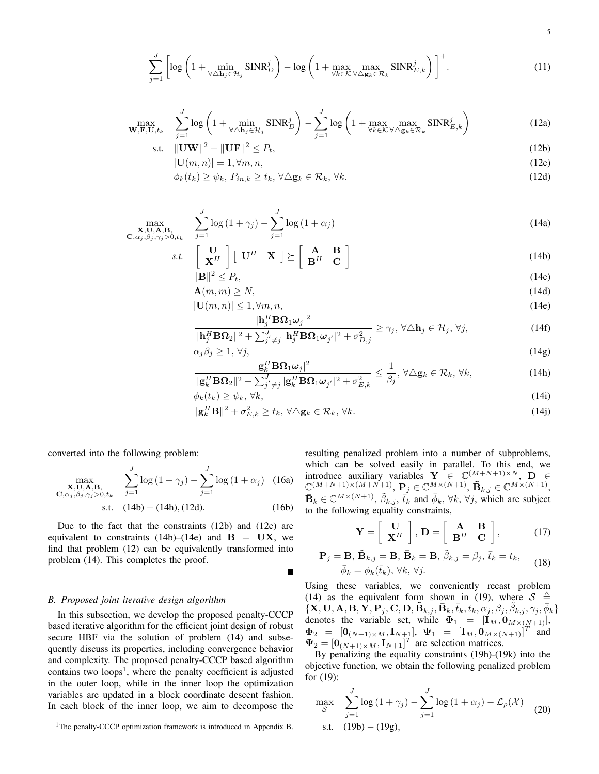$$
\sum_{j=1}^{J} \left[ \log \left( 1 + \min_{\forall \Delta \mathbf{h}_j \in \mathcal{H}_j} \text{SINR}_D^j \right) - \log \left( 1 + \max_{\forall k \in \mathcal{K}} \max_{\forall \Delta \mathbf{g}_k \in \mathcal{R}_k} \text{SINR}_{E,k}^j \right) \right]^+.
$$
 (11)

$$
\max_{\mathbf{W}, \mathbf{F}, \mathbf{U}, t_k} \quad \sum_{j=1}^J \log \left( 1 + \min_{\forall \Delta \mathbf{h}_j \in \mathcal{H}_j} \text{SINR}_D^j \right) - \sum_{j=1}^J \log \left( 1 + \max_{\forall k \in \mathcal{K}} \max_{\forall \Delta \mathbf{g}_k \in \mathcal{R}_k} \text{SINR}_{E,k}^j \right) \tag{12a}
$$

$$
\text{s.t. } \|\mathbf{U}\mathbf{W}\|^2 + \|\mathbf{U}\mathbf{F}\|^2 \le P_t,\tag{12b}
$$

$$
|\mathbf{U}(m,n)| = 1, \forall m, n,
$$
\n(12c)

$$
\phi_k(t_k) \ge \psi_k, \ P_{in,k} \ge t_k, \ \forall \Delta \mathbf{g}_k \in \mathcal{R}_k, \ \forall k. \tag{12d}
$$

$$
\max_{\substack{\mathbf{X}, \mathbf{U}, \mathbf{A}, \mathbf{B}, \\ \mathbf{C}, \alpha_j, \beta_j, \gamma_j > 0, t_k}} \quad \sum_{j=1}^J \log\left(1 + \gamma_j\right) - \sum_{j=1}^J \log\left(1 + \alpha_j\right) \tag{14a}
$$

$$
s.t. \quad \begin{bmatrix} \mathbf{U} \\ \mathbf{X}^H \end{bmatrix} \begin{bmatrix} \mathbf{U}^H & \mathbf{X} \end{bmatrix} \succeq \begin{bmatrix} \mathbf{A} & \mathbf{B} \\ \mathbf{B}^H & \mathbf{C} \end{bmatrix}
$$
 (14b)

$$
\|\mathbf{B}\|^2 \le P_t,\tag{14c}
$$

$$
\mathbf{A}(m,m) \ge N,\tag{14d}
$$

$$
|\mathbf{U}(m,n)| \le 1, \forall m, n,
$$
\n(14e)

$$
\frac{|\mathbf{h}_{j}^{H}\mathbf{B}\mathbf{\Omega}_{1}\boldsymbol{\omega}_{j}|^{2}}{\|\mathbf{h}_{j}^{H}\mathbf{B}\mathbf{\Omega}_{2}\|^{2} + \sum_{j'\neq j}^{J} |\mathbf{h}_{j}^{H}\mathbf{B}\mathbf{\Omega}_{1}\boldsymbol{\omega}_{j'}|^{2} + \sigma_{D,j}^{2}} \geq \gamma_{j}, \forall \Delta \mathbf{h}_{j} \in \mathcal{H}_{j}, \forall j,
$$
\n(14f)

$$
\alpha_j \beta_j \ge 1, \forall j, \qquad \qquad \text{(14g)}
$$

$$
\frac{|\mathbf{g}_k^H \mathbf{B} \Omega_1 \omega_j|^2}{\|\mathbf{g}_k^H \mathbf{B} \Omega_2\|^2 + \sum_{j' \neq j}^J |\mathbf{g}_k^H \mathbf{B} \Omega_1 \omega_{j'}|^2 + \sigma_{E,k}^2} \le \frac{1}{\beta_j}, \forall \Delta \mathbf{g}_k \in \mathcal{R}_k, \forall k,
$$
\n(14h)

$$
\phi_k(t_k) \ge \psi_k, \forall k,\tag{14i}
$$

$$
\|\mathbf{g}_k^H\mathbf{B}\|^2 + \sigma_{E,k}^2 \ge t_k, \,\forall \Delta \mathbf{g}_k \in \mathcal{R}_k, \,\forall k. \tag{14}
$$

converted into the following problem:

$$
\max_{\substack{\mathbf{X}, \mathbf{U}, \mathbf{A}, \mathbf{B}, \\ \mathbf{C}, \alpha_j, \beta_j, \gamma_j > 0, t_k}} \quad \sum_{j=1}^J \log\left(1 + \gamma_j\right) - \sum_{j=1}^J \log\left(1 + \alpha_j\right) \quad (16a)
$$

s.t. 
$$
(14b) - (14h), (12d)
$$
. (16b)

П

Due to the fact that the constraints (12b) and (12c) are equivalent to constraints  $(14b)$ – $(14e)$  and  $B = UX$ , we find that problem (12) can be equivalently transformed into problem (14). This completes the proof.

## *B. Proposed joint iterative design algorithm*

In this subsection, we develop the proposed penalty-CCCP based iterative algorithm for the efficient joint design of robust secure HBF via the solution of problem (14) and subsequently discuss its properties, including convergence behavior and complexity. The proposed penalty-CCCP based algorithm contains two loops<sup>1</sup>, where the penalty coefficient is adjusted in the outer loop, while in the inner loop the optimization variables are updated in a block coordinate descent fashion. In each block of the inner loop, we aim to decompose the resulting penalized problem into a number of subproblems, which can be solved easily in parallel. To this end, we introduce auxiliary variables  $Y \in \mathbb{C}^{(M+N+1)\times N}$ ,  $D \in$  $\mathbb{C}^{(M+N+1)\times (M+N+1)}$ ,  $\mathbf{P}_j \in \mathbb{C}^{M\times (N+1)}$ ,  $\mathbf{\tilde{B}}_{k,j} \in \mathbb{C}^{M\times (N+1)}$ ,  $\bar{\mathbf{B}}_k \in \mathbb{C}^{M \times (N+1)}$ ,  $\tilde{\beta}_{k,j}$ ,  $\bar{t}_k$  and  $\bar{\phi}_k$ ,  $\forall k, \forall j$ , which are subject to the following equality constraints,

$$
\mathbf{Y} = \left[ \begin{array}{c} \mathbf{U} \\ \mathbf{X}^H \end{array} \right], \, \mathbf{D} = \left[ \begin{array}{cc} \mathbf{A} & \mathbf{B} \\ \mathbf{B}^H & \mathbf{C} \end{array} \right],\tag{17}
$$

$$
\mathbf{P}_{j} = \mathbf{B}, \, \tilde{\mathbf{B}}_{k,j} = \mathbf{B}, \, \bar{\mathbf{B}}_{k} = \mathbf{B}, \, \tilde{\beta}_{k,j} = \beta_{j}, \, \bar{t}_{k} = t_{k},
$$
\n
$$
\bar{\phi}_{k} = \phi_{k}(\bar{t}_{k}), \, \forall k, \, \forall j.
$$
\n(18)

Using these variables, we conveniently recast problem (14) as the equivalent form shown in (19), where  $S \triangleq$  $\{\mathbf X, \mathbf U, \mathbf A, \mathbf B, \vec{\mathbf Y}, \mathbf P_j, \mathbf C, \mathbf D, \mathbf{\tilde B}_{k,j}, \mathbf{\bar B}_k, \bar t_k, t_k, \alpha_j, \beta_j, \tilde \beta_{k,j}, \gamma_j, \bar \phi_k\}$ denotes the variable set, while  $\Phi_1 = [\mathbf{I}_M, \mathbf{0}_{M \times (N+1)}],$  $\Phi_2 = [\mathbf{0}_{(N+1)\times M}, \mathbf{I}_{N+1}], \Psi_1 = [\mathbf{I}_M, \mathbf{0}_{M\times (N+1)}]^T$  and  $\Psi_2 = [\mathbf{0}_{(N+1)\times M}, \mathbf{I}_{N+1}]^T$  are selection matrices.

By penalizing the equality constraints (19h)-(19k) into the objective function, we obtain the following penalized problem for (19):

$$
\max_{\mathcal{S}} \quad \sum_{j=1}^{J} \log\left(1 + \gamma_j\right) - \sum_{j=1}^{J} \log\left(1 + \alpha_j\right) - \mathcal{L}_{\rho}(\mathcal{X}) \tag{20}
$$
\ns.t.

\n
$$
(19b) - (19g),
$$

<sup>&</sup>lt;sup>1</sup>The penalty-CCCP optimization framework is introduced in Appendix B.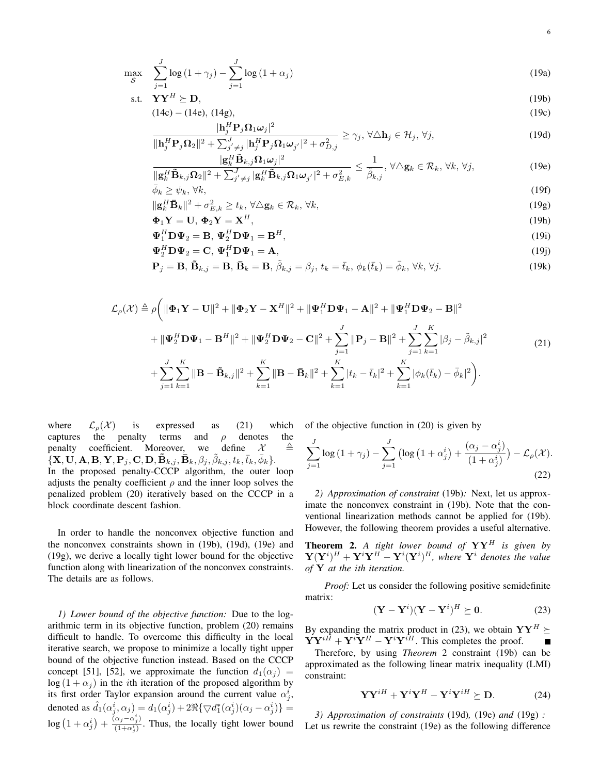$$
\max_{\mathcal{S}} \quad \sum_{j=1}^{J} \log \left( 1 + \gamma_j \right) - \sum_{j=1}^{J} \log \left( 1 + \alpha_j \right) \tag{19a}
$$

$$
\text{s.t.} \quad \mathbf{Y}\mathbf{Y}^H \succeq \mathbf{D},\tag{19b}
$$

$$
(14c) - (14e), (14g), \tag{19c}
$$

$$
\frac{|\mathbf{h}_{j}^{H}\mathbf{P}_{j}\mathbf{\Omega}_{1}\boldsymbol{\omega}_{j}|^{2}}{\|\mathbf{h}_{j}^{H}\mathbf{P}_{j}\mathbf{\Omega}_{2}\|^{2} + \sum_{j'\neq j}^{J} |\mathbf{h}_{j}^{H}\mathbf{P}_{j}\mathbf{\Omega}_{1}\boldsymbol{\omega}_{j'}|^{2} + \sigma_{D,j}^{2}} \geq \gamma_{j}, \forall \triangle \mathbf{h}_{j} \in \mathcal{H}_{j}, \forall j,
$$
\n(19d)

$$
\frac{|\mathbf{g}_k^H \tilde{\mathbf{B}}_{k,j} \Omega_1 \boldsymbol{\omega}_j|^2}{\|\mathbf{g}_k^H \tilde{\mathbf{B}}_{k,j} \Omega_2\|^2 + \sum_{j' \neq j}^J |\mathbf{g}_k^H \tilde{\mathbf{B}}_{k,j} \Omega_1 \boldsymbol{\omega}_{j'}|^2 + \sigma_{E,k}^2} \leq \frac{1}{\tilde{\beta}_{k,j}}, \forall \Delta \mathbf{g}_k \in \mathcal{R}_k, \forall k, \forall j,
$$
\n(19e)

$$
\bar{\phi}_k \ge \psi_k, \forall k,
$$
\n
$$
\|\mathbf{g}_k^H \bar{\mathbf{B}}_k\|^2 + \sigma_{E,k}^2 \ge t_k, \forall \Delta \mathbf{g}_k \in \mathcal{R}_k, \forall k,
$$
\n(19f)\n(19g)

$$
\|\mathbf{g}_k^H \mathbf{\bar{B}}_k\|^2 + \sigma_{E,k}^2 \ge t_k, \forall \Delta \mathbf{g}_k \in \mathcal{R}_k, \forall k,
$$
\n
$$
\Phi_1 \mathbf{Y} = \mathbf{U}, \ \Phi_2 \mathbf{Y} = \mathbf{X}^H,\tag{19b}
$$

$$
\mathbf{\Psi}_1^H \mathbf{D} \mathbf{\Psi}_2 = \mathbf{B}, \mathbf{\Psi}_2^H \mathbf{D} \mathbf{\Psi}_1 = \mathbf{B}^H,
$$
\n(19i)

$$
\Psi_2^H \mathbf{D} \Psi_2 = \mathbf{C}, \ \Psi_1^H \mathbf{D} \Psi_1 = \mathbf{A},\tag{19}
$$

$$
\mathbf{P}_{j} = \mathbf{B}, \, \tilde{\mathbf{B}}_{k,j} = \mathbf{B}, \, \bar{\mathbf{B}}_{k} = \mathbf{B}, \, \tilde{\beta}_{k,j} = \beta_{j}, \, t_{k} = \bar{t}_{k}, \, \phi_{k}(\bar{t}_{k}) = \bar{\phi}_{k}, \, \forall k, \, \forall j.
$$

$$
\mathcal{L}_{\rho}(\mathcal{X}) \triangleq \rho \bigg( \|\mathbf{\Phi}_{1}\mathbf{Y} - \mathbf{U}\|^{2} + \|\mathbf{\Phi}_{2}\mathbf{Y} - \mathbf{X}^{H}\|^{2} + \|\mathbf{\Psi}_{1}^{H}\mathbf{D}\mathbf{\Psi}_{1} - \mathbf{A}\|^{2} + \|\mathbf{\Psi}_{1}^{H}\mathbf{D}\mathbf{\Psi}_{2} - \mathbf{B}\|^{2} \n+ \|\mathbf{\Psi}_{2}^{H}\mathbf{D}\mathbf{\Psi}_{1} - \mathbf{B}^{H}\|^{2} + \|\mathbf{\Psi}_{2}^{H}\mathbf{D}\mathbf{\Psi}_{2} - \mathbf{C}\|^{2} + \sum_{j=1}^{J} \|\mathbf{P}_{j} - \mathbf{B}\|^{2} + \sum_{j=1}^{J} \sum_{k=1}^{K} |\beta_{j} - \tilde{\beta}_{k,j}|^{2} \n+ \sum_{j=1}^{J} \sum_{k=1}^{K} \|\mathbf{B} - \tilde{\mathbf{B}}_{k,j}\|^{2} + \sum_{k=1}^{K} \|\mathbf{B} - \bar{\mathbf{B}}_{k}\|^{2} + \sum_{k=1}^{K} |t_{k} - \bar{t}_{k}|^{2} + \sum_{k=1}^{K} |\phi_{k}(\bar{t}_{k}) - \bar{\phi}_{k}|^{2} \bigg).
$$
\n(21)

where  $\mathcal{L}_{\rho}(\mathcal{X})$  is expressed as (21) which captures the penalty terms and *ρ* denotes the penalty coefficient. Moreover, we define  $\mathcal{X}$   $\triangleq$  $\{\mathbf X, \mathbf U, \mathbf A, \mathbf B, \mathbf Y, \mathbf P_j, \mathbf C, \mathbf D, \mathbf{\tilde B}_{k,j}, \mathbf{\bar B}_k, \beta_j, \tilde\beta_{k,j}, t_k, \bar t_k, \bar\phi_k\}.$ In the proposed penalty-CCCP algorithm, the outer loop adjusts the penalty coefficient  $\rho$  and the inner loop solves the penalized problem (20) iteratively based on the CCCP in a block coordinate descent fashion.

In order to handle the nonconvex objective function and the nonconvex constraints shown in (19b), (19d), (19e) and (19g), we derive a locally tight lower bound for the objective function along with linearization of the nonconvex constraints. The details are as follows.

*1) Lower bound of the objective function:* Due to the logarithmic term in its objective function, problem (20) remains difficult to handle. To overcome this difficulty in the local iterative search, we propose to minimize a locally tight upper bound of the objective function instead. Based on the CCCP concept [51], [52], we approximate the function  $d_1(\alpha_j)$  =  $\log(1 + \alpha_i)$  in the *i*th iteration of the proposed algorithm by its first order Taylor expansion around the current value  $\alpha_j^i$ , denoted as  $\hat{d}_1(\alpha_j^i, \alpha_j) = d_1(\alpha_j^i) + 2\Re{\lbrace \bigtriangledown d_1^*(\alpha_j^i)(\alpha_j - \alpha_j^i) \rbrace} =$  $\log\left(1+\alpha_j^i\right)+\frac{\tilde{a}_j-\alpha_j^i}{(1+\alpha_j^i)}$  $\frac{(a_j - a_j)}{(1 + \alpha_j^i)}$ . Thus, the locally tight lower bound of the objective function in (20) is given by

$$
\sum_{j=1}^{J} \log\left(1+\gamma_j\right) - \sum_{j=1}^{J} \left(\log\left(1+\alpha_j^i\right) + \frac{\left(\alpha_j - \alpha_j^i\right)}{\left(1+\alpha_j^i\right)}\right) - \mathcal{L}_\rho(\mathcal{X}).
$$
\n(22)

*2) Approximation of constraint* (19b)*:* Next, let us approximate the nonconvex constraint in (19b). Note that the conventional linearization methods cannot be applied for (19b). However, the following theorem provides a useful alternative.

Theorem 2. *A tight lower bound of* **YY***<sup>H</sup> is given by*  $\mathbf{Y}(\mathbf{Y}^i)$ <sup>*H*</sup> +  $\mathbf{Y}^i\mathbf{Y}^H$  -  $\mathbf{Y}^i(\mathbf{Y}^i)$ <sup>*H*</sup>, where  $\mathbf{Y}^i$  denotes the value *of* **Y** *at the ith iteration.*

*Proof:* Let us consider the following positive semidefinite matrix:

$$
(\mathbf{Y} - \mathbf{Y}^i)(\mathbf{Y} - \mathbf{Y}^i)^H \succeq \mathbf{0}.
$$
 (23)

By expanding the matrix product in (23), we obtain  $\mathbf{YY}^H \succeq$  $\dot{Y}Y^{i\hat{H}} + Y^{i}\dot{Y}^{H} - Y^{i}Y^{i\hat{H}}$ . This completes the proof. г

Therefore, by using *Theorem* 2 constraint (19b) can be approximated as the following linear matrix inequality (LMI) constraint:

$$
\mathbf{Y}\mathbf{Y}^{iH} + \mathbf{Y}^{i}\mathbf{Y}^{H} - \mathbf{Y}^{i}\mathbf{Y}^{iH} \succeq \mathbf{D}.
$$
 (24)

*3) Approximation of constraints* (19d)*,* (19e) *and* (19g) *:* Let us rewrite the constraint (19e) as the following difference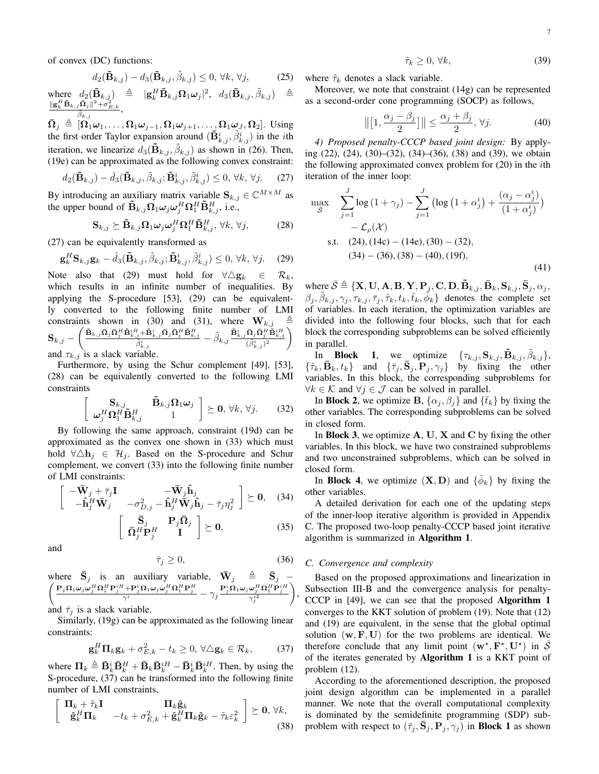of convex (DC) functions:

$$
d_2(\tilde{\mathbf{B}}_{k,j}) - d_3(\tilde{\mathbf{B}}_{k,j}, \tilde{\beta}_{k,j}) \le 0, \forall k, \forall j,
$$
 (25)

 $\text{where} \quad d_2(\tilde{\mathbf{B}}_{k,j}) \quad \triangleq \quad |\mathbf{g}_k^H \tilde{\mathbf{B}}_{k,j} \Omega_1 \omega_j|^2, \quad d_3(\tilde{\mathbf{B}}_{k,j}, \tilde{\beta}_{k,j}) \quad \triangleq$  $\frac{\|\mathbf{g}_k^H \mathbf{\tilde{B}}_{k,j}\mathbf{\bar{\Omega}}_j\|^2 + \sigma_{E,k}^2}{\tilde{\beta}_{k,j}},$ 

 $\bar{\mathbf{\Omega}}_j \triangleq [\mathbf{\Omega}_1 \boldsymbol{\omega}_1, \dots, \mathbf{\Omega}_1 \boldsymbol{\omega}_{j-1}, \mathbf{\Omega}_1 \boldsymbol{\omega}_{j+1}, \dots, \mathbf{\Omega}_1 \boldsymbol{\omega}_J, \mathbf{\Omega}_2].$  Using the first order Taylor expansion around  $(\tilde{\mathbf{B}}_{k,j}^i, \tilde{\beta}_{k,j}^i)$  in the *i*th iteration, we linearize  $d_3(\mathbf{\tilde{B}}_{k,j}, \tilde{\beta}_{k,j})$  as shown in (26). Then, (19e) can be approximated as the following convex constraint:

$$
d_2(\tilde{\mathbf{B}}_{k,j}) - \hat{d}_3(\tilde{\mathbf{B}}_{k,j}, \tilde{\beta}_{k,j}; \tilde{\mathbf{B}}_{k,j}^i, \tilde{\beta}_{k,j}^i) \le 0, \forall k, \forall j. \tag{27}
$$

By introducing an auxiliary matrix variable  $\mathbf{S}_{k,j} \in \mathbb{C}^{M \times M}$  as the upper bound of  $\mathbf{\tilde{B}}_{k,j}\mathbf{\Omega}_1\omega_j\omega_j^H\mathbf{\Omega}_1^H\mathbf{\tilde{B}}_{k,j}^H$ , i.e.,

$$
\mathbf{S}_{k,j} \succeq \tilde{\mathbf{B}}_{k,j} \mathbf{\Omega}_1 \boldsymbol{\omega}_j \boldsymbol{\omega}_j^H \mathbf{\Omega}_1^H \tilde{\mathbf{B}}_{k,j}^H, \ \forall k, \ \forall j,
$$
 (28)

(27) can be equivalently transformed as

$$
\mathbf{g}_{k}^{H}\mathbf{S}_{k,j}\mathbf{g}_{k} - \hat{d}_{3}(\tilde{\mathbf{B}}_{k,j},\tilde{\beta}_{k,j};\tilde{\mathbf{B}}_{k,j}^{i},\tilde{\beta}_{k,j}^{i}) \leq 0, \forall k, \forall j.
$$
 (29)

Note also that (29) must hold for  $\forall \Delta g_k \in \mathcal{R}_k$ , which results in an infinite number of inequalities. By applying the S-procedure [53], (29) can be equivalently converted to the following finite number of LMI constraints shown in (30) and (31), where  $\mathbf{W}_{k,j}$  $\mathbf{S}_{k,j}=\left(\frac{\tilde{\mathbf{B}}_{k,j}\bar{\mathbf{\Omega}}_{j}\bar{\mathbf{\Omega}}_{j}^{H}\tilde{\mathbf{B}}_{k,j}^{iH}\!+\!\tilde{\mathbf{B}}_{k,j}^{i}\bar{\mathbf{\Omega}}_{j}\bar{\mathbf{\Omega}}_{j}^{H}\tilde{\mathbf{B}}_{k,j}^{H}}{\tilde{\beta}^{i}_{k,j}}-\tilde{\beta}_{k,j}\frac{\tilde{\mathbf{B}}_{k,j}^{i}\bar{\mathbf{\Omega}}_{j}\bar{\mathbf{\Omega}}_{j}^{H}\tilde{\mathbf{B}}_{k,j}^{iH}}{(\tilde{\beta}^{i}_{k,j})^{2}}\right)$ and  $\tau_{k,j}$  is a slack variable.

Furthermore, by using the Schur complement [49], [53], (28) can be equivalently converted to the following LMI constraints

$$
\begin{bmatrix}\n\mathbf{S}_{k,j} & \tilde{\mathbf{B}}_{k,j} \Omega_1^{H} \tilde{\mathbf{B}}_{k,j}^{H} \\
\boldsymbol{\omega}_j^H \Omega_1^{H} \tilde{\mathbf{B}}_{k,j}^{H} & 1\n\end{bmatrix} \succeq \mathbf{0}, \forall k, \forall j.
$$
\n(32)

By following the same approach, constraint (19d) can be approximated as the convex one shown in (33) which must hold  $\forall \triangle h_j$  ∈  $\mathcal{H}_j$ . Based on the S-procedure and Schur complement, we convert (33) into the following finite number of LMI constraints:

$$
\begin{bmatrix}\n-\bar{\mathbf{W}}_j + \bar{\tau}_j \mathbf{I} & -\bar{\mathbf{W}}_j \hat{\mathbf{h}}_j \\
-\hat{\mathbf{h}}_j^H \bar{\mathbf{W}}_j & -\sigma_{D,j}^2 - \hat{\mathbf{h}}_j^H \bar{\mathbf{W}}_j \hat{\mathbf{h}}_j - \bar{\tau}_j \eta_j^2\n\end{bmatrix} \succeq \mathbf{0}, \quad (34)
$$

$$
\left[\begin{array}{cc} \bar{\mathbf{S}}_{j} & \mathbf{P}_{j} \bar{\mathbf{\Omega}}_{j} \\ \bar{\mathbf{\Omega}}_{j}^{H} \mathbf{P}_{j}^{H} & \mathbf{I} \end{array}\right] \succeq \mathbf{0}, \tag{35}
$$

 $\bar{\tau}_i \geq 0$ , (36)

and

where 
$$
\bar{S}_j
$$
 is an auxiliary variable,  $\bar{W}_j \triangleq \bar{S}_j$   
\n $\left( \frac{P_j \Omega_1 \omega_j \omega_j^H \Omega_1^H P_j^i H + P_j^i \Omega_1 \omega_j \omega_j^H \Omega_1^H P_j^H}{\gamma^i} - \gamma_j \frac{P_j^i \Omega_1 \omega_j \omega_j^H \Omega_1^H P_j^H}{\gamma_j^{i2}} \right)$   
\nand  $\bar{\tau}_j$  is a slack variable.

Similarly, (19g) can be approximated as the following linear constraints:

$$
\mathbf{g}_k^H \mathbf{\Pi}_k \mathbf{g}_k + \sigma_{E,k}^2 - t_k \ge 0, \,\forall \Delta \mathbf{g}_k \in \mathcal{R}_k,\tag{37}
$$

where  $\Pi_k \triangleq \bar{\mathbf{B}}_k^i \bar{\mathbf{B}}_k^H + \bar{\mathbf{B}}_k \bar{\mathbf{B}}_k^{iH} - \bar{\mathbf{B}}_k^i \bar{\mathbf{B}}_k^{iH}$ . Then, by using the S-procedure, (37) can be transformed into the following finite number of LMI constraints,

$$
\begin{bmatrix}\n\Pi_k + \tilde{\tau}_k \mathbf{I} & \Pi_k \hat{\mathbf{g}}_k \\
\hat{\mathbf{g}}_k^H \mathbf{\Pi}_k & -t_k + \sigma_{E,k}^2 + \hat{\mathbf{g}}_k^H \mathbf{\Pi}_k \hat{\mathbf{g}}_k - \tilde{\tau}_k \varepsilon_k^2\n\end{bmatrix} \succeq \mathbf{0}, \forall k,
$$
\n(38)

 $\tilde{\tau}_k \geq 0$ ,  $\forall k$ , (39)

where  $\tilde{\tau}_k$  denotes a slack variable.

Moreover, we note that constraint (14g) can be represented as a second-order cone programming (SOCP) as follows,

$$
\left\| \left[ 1, \frac{\alpha_j - \beta_j}{2} \right] \right\| \le \frac{\alpha_j + \beta_j}{2}, \forall j.
$$
 (40)

*4) Proposed penalty-CCCP based joint design:* By applying (22), (24), (30)–(32), (34)–(36), (38) and (39), we obtain the following approximated convex problem for (20) in the *i*th iteration of the inner loop:

$$
\max_{\bar{S}} \quad \sum_{j=1}^{J} \log (1 + \gamma_j) - \sum_{j=1}^{J} \left( \log (1 + \alpha_j^i) + \frac{(\alpha_j - \alpha_j^i)}{(1 + \alpha_j^i)} \right) - \mathcal{L}_{\rho}(\mathcal{X})
$$
\n
$$
\text{s.t.} \quad (24), (14c) - (14e), (30) - (32),
$$
\n
$$
(34) - (36), (38) - (40), (19f),
$$
\n
$$
(41)
$$

where  $\bar{\mathcal{S}} \triangleq \{ \mathbf{X}, \mathbf{U}, \mathbf{A}, \mathbf{B}, \mathbf{Y}, \mathbf{P}_j, \mathbf{C}, \mathbf{D}, \tilde{\mathbf{B}}_{k,j}, \bar{\mathbf{B}}_k, \mathbf{S}_{k,j}, \bar{\mathbf{S}}_j, \alpha_j, \}$  $(\beta_j, \tilde{\beta}_{k,j}, \gamma_j, \tau_{k,j}, \bar{\tau}_j, \tilde{\tau}_k, t_k, \bar{t}_k, \bar{\phi}_k)$  denotes the complete set of variables. In each iteration, the optimization variables are divided into the following four blocks, such that for each block the corresponding subproblems can be solved efficiently in parallel.

In **Block** 1, we optimize  $\{\tau_{k,j}, \mathbf{S}_{k,j}, \mathbf{B}_{k,j}, \tilde{\beta}_{k,j}\},\$  $\{\tilde{\tau}_k, \bar{\mathbf{B}}_k, t_k\}$  and  $\{\bar{\tau}_j, \bar{\mathbf{S}}_j, \mathbf{P}_j, \gamma_j\}$  by fixing the other variables. In this block, the corresponding subproblems for *∀k*  $\in$  *K* and  $\forall$ *j*  $\in$  *J* can be solved in parallel.

In **Block 2**, we optimize **B**,  $\{\alpha_i, \beta_i\}$  and  $\{\bar{t}_k\}$  by fixing the other variables. The corresponding subproblems can be solved in closed form.

In Block 3, we optimize **A**, **U**, **X** and **C** by fixing the other variables. In this block, we have two constrained subproblems and two unconstrained subproblems, which can be solved in closed form.

In **Block 4**, we optimize  $(X, D)$  and  $\{\bar{\phi}_k\}$  by fixing the other variables.

A detailed derivation for each one of the updating steps of the inner-loop iterative algorithm is provided in Appendix C. The proposed two-loop penalty-CCCP based joint iterative algorithm is summarized in Algorithm 1.

# *C. Convergence and complexity*

,

Based on the proposed approximations and linearization in Subsection III-B and the convergence analysis for penalty-CCCP in [49], we can see that the proposed Algorithm 1 converges to the KKT solution of problem (19). Note that (12) and (19) are equivalent, in the sense that the global optimal solution  $(\mathbf{w}, \mathbf{F}, \mathbf{U})$  for the two problems are identical. We therefore conclude that any limit point  $(\mathbf{w}^*, \mathbf{F}^*, \mathbf{U}^*)$  in  $\overline{S}$ of the iterates generated by Algorithm 1 is a KKT point of problem (12).

According to the aforementioned description, the proposed joint design algorithm can be implemented in a parallel manner. We note that the overall computational complexity is dominated by the semidefinite programming (SDP) subproblem with respect to  $(\bar{\tau}_i, \bar{\mathbf{S}}_i, \mathbf{P}_i, \gamma_i)$  in Block 1 as shown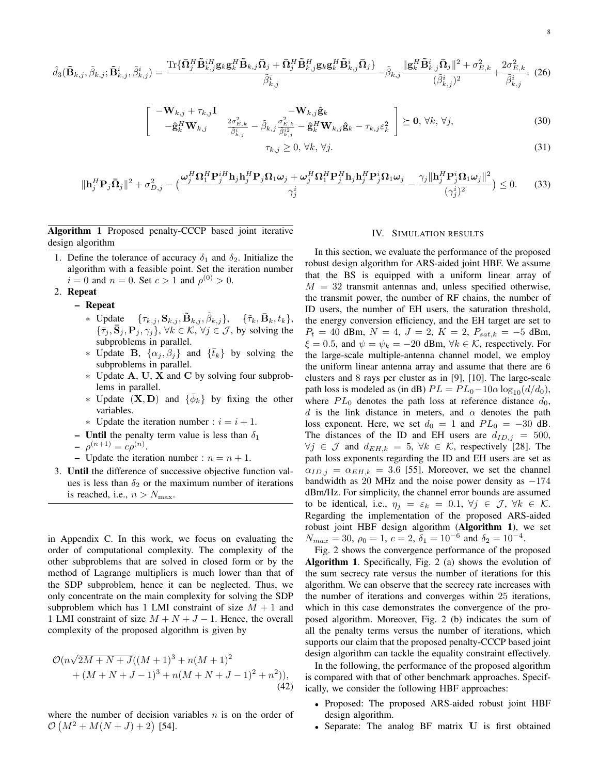$$
\hat{d}_{3}(\tilde{\mathbf{B}}_{k,j},\tilde{\beta}_{k,j},\tilde{\mathbf{B}}_{k,j}^{i},\tilde{\beta}_{k,j}^{i}) = \frac{\text{Tr}\{\bar{\mathbf{\Omega}}_{j}^{H}\tilde{\mathbf{B}}_{k,j}^{i}\mathbf{g}_{k}\mathbf{g}_{k}^{H}\tilde{\mathbf{B}}_{k,j}\bar{\mathbf{\Omega}}_{j} + \bar{\mathbf{\Omega}}_{j}^{H}\tilde{\mathbf{B}}_{k,j}^{H}\mathbf{g}_{k}\mathbf{g}_{k}^{H}\tilde{\mathbf{B}}_{k,j}^{i}\bar{\mathbf{\Omega}}_{j}\}}{\tilde{\beta}_{k,j}^{i}} - \tilde{\beta}_{k,j}\frac{\|\mathbf{g}_{k}^{H}\tilde{\mathbf{B}}_{k,j}^{i}\bar{\mathbf{\Omega}}_{j}\|^{2} + \sigma_{E,k}^{2}}{(\tilde{\beta}_{k,j}^{i})^{2}} + \frac{2\sigma_{E,k}^{2}}{\tilde{\beta}_{k,j}^{i}}.\tag{26}
$$

$$
-\mathbf{W}_{k,j} + \tau_{k,j} \mathbf{I} \quad -\mathbf{W}_{k,j} \hat{\mathbf{g}}_k -\hat{\mathbf{g}}_k^H \mathbf{W}_{k,j} \quad \frac{2\sigma_{E,k}^2}{\hat{\beta}_{k,j}^i} - \tilde{\beta}_{k,j} \frac{\sigma_{E,k}^2}{\hat{\beta}_{k,j}^{i2}} - \hat{\mathbf{g}}_k^H \mathbf{W}_{k,j} \hat{\mathbf{g}}_k - \tau_{k,j} \varepsilon_k^2 \quad \sum \epsilon \mathbf{0}, \forall k, \forall j,
$$
(30)

$$
\tau_{k,j} \ge 0, \forall k, \forall j. \tag{31}
$$

$$
\|\mathbf{h}_{j}^{H}\mathbf{P}_{j}\bar{\mathbf{\Omega}}_{j}\|^{2} + \sigma_{D,j}^{2} - \big(\frac{\omega_{j}^{H}\Omega_{1}^{H}\mathbf{P}_{j}^{H}\mathbf{h}_{j}\mathbf{h}_{j}^{H}\mathbf{P}_{j}\Omega_{1}\omega_{j} + \omega_{j}^{H}\Omega_{1}^{H}\mathbf{P}_{j}^{H}\mathbf{h}_{j}\mathbf{h}_{j}^{H}\mathbf{P}_{j}^{i}\Omega_{1}\omega_{j}}{\gamma_{j}^{i}} - \frac{\gamma_{j}\|\mathbf{h}_{j}^{H}\mathbf{P}_{j}^{i}\Omega_{1}\omega_{j}\|^{2}}{(\gamma_{j}^{i})^{2}}\big) \leq 0.
$$
 (33)

Algorithm 1 Proposed penalty-CCCP based joint iterative design algorithm

 $\lceil$ 

- 1. Define the tolerance of accuracy  $\delta_1$  and  $\delta_2$ . Initialize the algorithm with a feasible point. Set the iteration number  $i = 0$  and  $n = 0$ . Set  $c > 1$  and  $\rho^{(0)} > 0$ .
- 2. Repeat
	- Repeat
		- *\** Update  ${\{\tau_{k,j}, \mathbf{S}_{k,j}, \mathbf{\tilde{B}}_{k,j}, \tilde{\beta}_{k,j}\}}$ ,  ${\{\tilde{\tau}_k, \mathbf{\bar{B}}_k, t_k\}}$ ,  $\{\bar{\tau}_j, \bar{\mathbf{S}}_j, \mathbf{P}_j, \gamma_j\}$ ,  $\forall k \in \mathcal{K}, \forall j \in \mathcal{J}$ , by solving the subproblems in parallel.
		- *∗* Update **B**,  $\{\alpha_j, \beta_j\}$  and  $\{\bar{t}_k\}$  by solving the subproblems in parallel.
		- *∗* Update **A**, **U**, **X** and **C** by solving four subproblems in parallel.
		- *∗* Update  $(X, D)$  and  $\{\bar{\phi}_k\}$  by fixing the other variables.
		- $\ast$  Update the iteration number :  $i = i + 1$ .
		- Until the penalty term value is less than  $\delta_1$
		- $-\rho^{(n+1)} = c\rho^{(n)}.$
		- Update the iteration number :  $n = n + 1$ .
- 3. Until the difference of successive objective function values is less than  $\delta_2$  or the maximum number of iterations is reached, i.e.,  $n > N_{\text{max}}$ .

in Appendix C. In this work, we focus on evaluating the order of computational complexity. The complexity of the other subproblems that are solved in closed form or by the method of Lagrange multipliers is much lower than that of the SDP subproblem, hence it can be neglected. Thus, we only concentrate on the main complexity for solving the SDP subproblem which has 1 LMI constraint of size  $M + 1$  and 1 LMI constraint of size  $M + N + J - 1$ . Hence, the overall complexity of the proposed algorithm is given by

$$
\mathcal{O}(n\sqrt{2M+N+J}((M+1)^3 + n(M+1)^2 + (M+N+J-1)^3 + n(M+N+J-1)^2 + n^2)),
$$
\n(42)

where the number of decision variables *n* is on the order of  $\mathcal{O}(M^2 + M(N+J) + 2)$  [54].

#### IV. SIMULATION RESULTS

In this section, we evaluate the performance of the proposed robust design algorithm for ARS-aided joint HBF. We assume that the BS is equipped with a uniform linear array of  $M = 32$  transmit antennas and, unless specified otherwise, the transmit power, the number of RF chains, the number of ID users, the number of EH users, the saturation threshold, the energy conversion efficiency, and the EH target are set to *P<sup>t</sup>* = 40 dBm, *N* = 4, *J* = 2, *K* = 2, *Psat,k* = *−*5 dBm,  $\xi = 0.5$ , and  $\psi = \psi_k = -20$  dBm,  $\forall k \in \mathcal{K}$ , respectively. For the large-scale multiple-antenna channel model, we employ the uniform linear antenna array and assume that there are 6 clusters and 8 rays per cluster as in [9], [10]. The large-scale path loss is modeled as (in dB)  $PL = PL_0 - 10\alpha \log_{10}(d/d_0)$ , where  $PL_0$  denotes the path loss at reference distance  $d_0$ , *d* is the link distance in meters, and  $\alpha$  denotes the path loss exponent. Here, we set  $d_0 = 1$  and  $PL_0 = -30$  dB. The distances of the ID and EH users are  $d_{ID,j} = 500$ ,  $∀j$   $\in$  *J* and  $d_{EH,k}$  = 5,  $∀k$   $\in$  *K*, respectively [28]. The path loss exponents regarding the ID and EH users are set as  $\alpha_{ID,j} = \alpha_{EH,k} = 3.6$  [55]. Moreover, we set the channel bandwidth as 20 MHz and the noise power density as *−*174 dBm/Hz. For simplicity, the channel error bounds are assumed to be identical, i.e.,  $\eta_j = \varepsilon_k = 0.1, \forall j \in \mathcal{J}, \forall k \in \mathcal{K}$ . Regarding the implementation of the proposed ARS-aided robust joint HBF design algorithm (Algorithm 1), we set  $N_{max} = 30$ ,  $\rho_0 = 1$ ,  $c = 2$ ,  $\delta_1 = 10^{-6}$  and  $\delta_2 = 10^{-4}$ .

Fig. 2 shows the convergence performance of the proposed Algorithm 1. Specifically, Fig. 2 (a) shows the evolution of the sum secrecy rate versus the number of iterations for this algorithm. We can observe that the secrecy rate increases with the number of iterations and converges within 25 iterations, which in this case demonstrates the convergence of the proposed algorithm. Moreover, Fig. 2 (b) indicates the sum of all the penalty terms versus the number of iterations, which supports our claim that the proposed penalty-CCCP based joint design algorithm can tackle the equality constraint effectively.

In the following, the performance of the proposed algorithm is compared with that of other benchmark approaches. Specifically, we consider the following HBF approaches:

- *•* Proposed: The proposed ARS-aided robust joint HBF design algorithm.
- *•* Separate: The analog BF matrix **U** is first obtained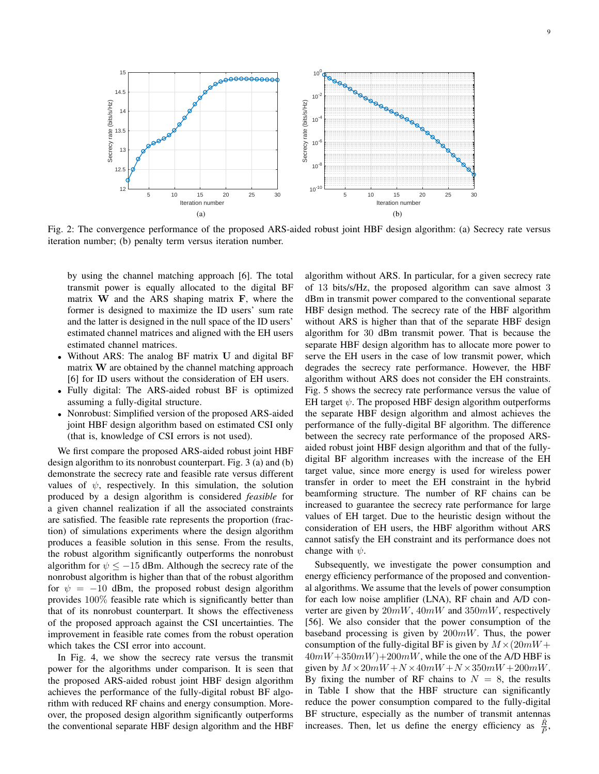

Fig. 2: The convergence performance of the proposed ARS-aided robust joint HBF design algorithm: (a) Secrecy rate versus iteration number; (b) penalty term versus iteration number.

by using the channel matching approach [6]. The total transmit power is equally allocated to the digital BF matrix **W** and the ARS shaping matrix **F**, where the former is designed to maximize the ID users' sum rate and the latter is designed in the null space of the ID users' estimated channel matrices and aligned with the EH users estimated channel matrices.

- *•* Without ARS: The analog BF matrix **U** and digital BF matrix **W** are obtained by the channel matching approach [6] for ID users without the consideration of EH users.
- *•* Fully digital: The ARS-aided robust BF is optimized assuming a fully-digital structure.
- *•* Nonrobust: Simplified version of the proposed ARS-aided joint HBF design algorithm based on estimated CSI only (that is, knowledge of CSI errors is not used).

We first compare the proposed ARS-aided robust joint HBF design algorithm to its nonrobust counterpart. Fig. 3 (a) and (b) demonstrate the secrecy rate and feasible rate versus different values of  $\psi$ , respectively. In this simulation, the solution produced by a design algorithm is considered *feasible* for a given channel realization if all the associated constraints are satisfied. The feasible rate represents the proportion (fraction) of simulations experiments where the design algorithm produces a feasible solution in this sense. From the results, the robust algorithm significantly outperforms the nonrobust algorithm for  $\psi$  <  $-15$  dBm. Although the secrecy rate of the nonrobust algorithm is higher than that of the robust algorithm for  $\psi = -10$  dBm, the proposed robust design algorithm provides 100% feasible rate which is significantly better than that of its nonrobust counterpart. It shows the effectiveness of the proposed approach against the CSI uncertainties. The improvement in feasible rate comes from the robust operation which takes the CSI error into account.

In Fig. 4, we show the secrecy rate versus the transmit power for the algorithms under comparison. It is seen that the proposed ARS-aided robust joint HBF design algorithm achieves the performance of the fully-digital robust BF algorithm with reduced RF chains and energy consumption. Moreover, the proposed design algorithm significantly outperforms the conventional separate HBF design algorithm and the HBF algorithm without ARS. In particular, for a given secrecy rate of 13 bits/s/Hz, the proposed algorithm can save almost 3 dBm in transmit power compared to the conventional separate HBF design method. The secrecy rate of the HBF algorithm without ARS is higher than that of the separate HBF design algorithm for 30 dBm transmit power. That is because the separate HBF design algorithm has to allocate more power to serve the EH users in the case of low transmit power, which degrades the secrecy rate performance. However, the HBF algorithm without ARS does not consider the EH constraints. Fig. 5 shows the secrecy rate performance versus the value of EH target  $\psi$ . The proposed HBF design algorithm outperforms the separate HBF design algorithm and almost achieves the performance of the fully-digital BF algorithm. The difference between the secrecy rate performance of the proposed ARSaided robust joint HBF design algorithm and that of the fullydigital BF algorithm increases with the increase of the EH target value, since more energy is used for wireless power transfer in order to meet the EH constraint in the hybrid beamforming structure. The number of RF chains can be increased to guarantee the secrecy rate performance for large values of EH target. Due to the heuristic design without the consideration of EH users, the HBF algorithm without ARS cannot satisfy the EH constraint and its performance does not change with *ψ*.

Subsequently, we investigate the power consumption and energy efficiency performance of the proposed and conventional algorithms. We assume that the levels of power consumption for each low noise amplifier (LNA), RF chain and A/D converter are given by 20*mW*, 40*mW* and 350*mW*, respectively [56]. We also consider that the power consumption of the baseband processing is given by 200*mW*. Thus, the power consumption of the fully-digital BF is given by  $M \times (20mW +$  $40mW+350mW+200mW$ , while the one of the A/D HBF is given by  $M \times 20mW + N \times 40mW + N \times 350mW + 200mW$ . By fixing the number of RF chains to  $N = 8$ , the results in Table I show that the HBF structure can significantly reduce the power consumption compared to the fully-digital BF structure, especially as the number of transmit antennas increases. Then, let us define the energy efficiency as  $\frac{\tilde{R}}{\tilde{P}}$ ,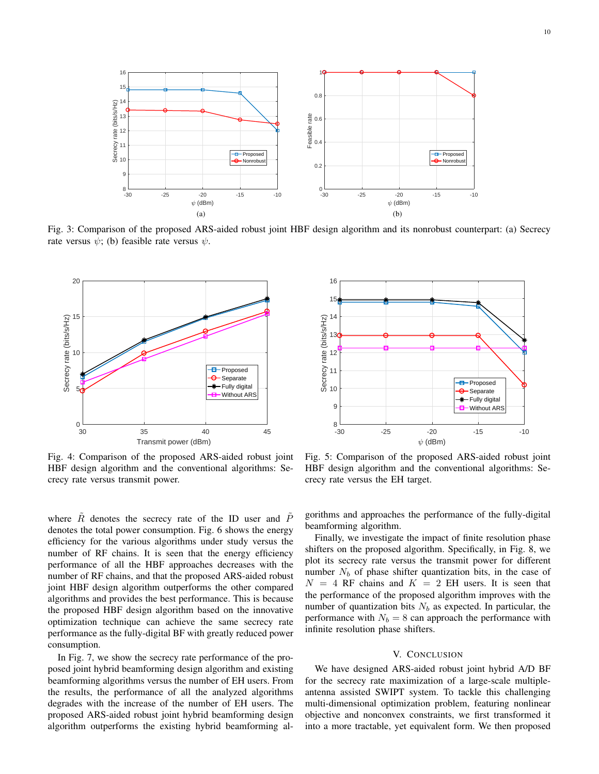

Fig. 3: Comparison of the proposed ARS-aided robust joint HBF design algorithm and its nonrobust counterpart: (a) Secrecy rate versus  $\psi$ ; (b) feasible rate versus  $\psi$ .



Fig. 4: Comparison of the proposed ARS-aided robust joint HBF design algorithm and the conventional algorithms: Secrecy rate versus transmit power.

where  $R$  denotes the secrecy rate of the ID user and  $P$ denotes the total power consumption. Fig. 6 shows the energy efficiency for the various algorithms under study versus the number of RF chains. It is seen that the energy efficiency performance of all the HBF approaches decreases with the number of RF chains, and that the proposed ARS-aided robust joint HBF design algorithm outperforms the other compared algorithms and provides the best performance. This is because the proposed HBF design algorithm based on the innovative optimization technique can achieve the same secrecy rate performance as the fully-digital BF with greatly reduced power consumption.

In Fig. 7, we show the secrecy rate performance of the proposed joint hybrid beamforming design algorithm and existing beamforming algorithms versus the number of EH users. From the results, the performance of all the analyzed algorithms degrades with the increase of the number of EH users. The proposed ARS-aided robust joint hybrid beamforming design algorithm outperforms the existing hybrid beamforming al-



Fig. 5: Comparison of the proposed ARS-aided robust joint HBF design algorithm and the conventional algorithms: Secrecy rate versus the EH target.

gorithms and approaches the performance of the fully-digital beamforming algorithm.

Finally, we investigate the impact of finite resolution phase shifters on the proposed algorithm. Specifically, in Fig. 8, we plot its secrecy rate versus the transmit power for different number  $N_b$  of phase shifter quantization bits, in the case of  $N = 4$  RF chains and  $K = 2$  EH users. It is seen that the performance of the proposed algorithm improves with the number of quantization bits  $N_b$  as expected. In particular, the performance with  $N_b = 8$  can approach the performance with infinite resolution phase shifters.

## V. CONCLUSION

We have designed ARS-aided robust joint hybrid A/D BF for the secrecy rate maximization of a large-scale multipleantenna assisted SWIPT system. To tackle this challenging multi-dimensional optimization problem, featuring nonlinear objective and nonconvex constraints, we first transformed it into a more tractable, yet equivalent form. We then proposed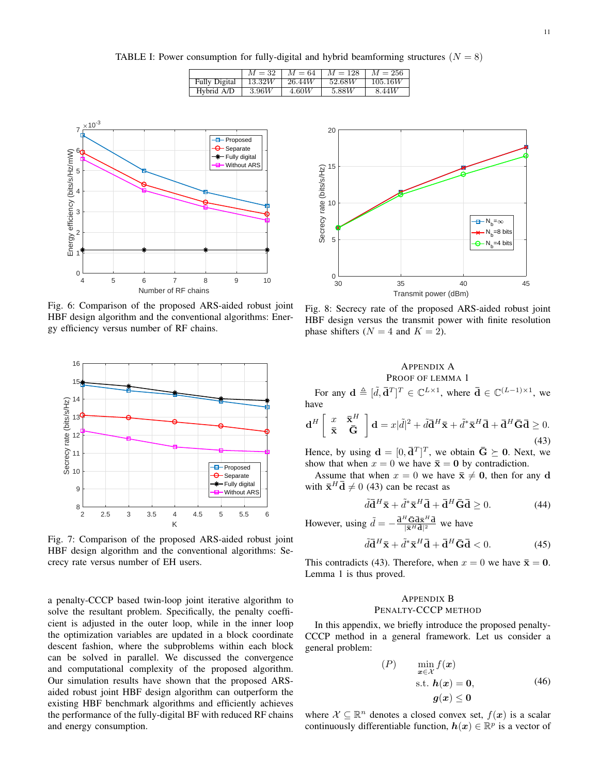TABLE I: Power consumption for fully-digital and hybrid beamforming structures ( $N = 8$ )

|                      | $M = 32$ | $M = 64$ | $M = 128$ | $M = 256$ |
|----------------------|----------|----------|-----------|-----------|
| <b>Fully Digital</b> | 13.32W   | 26.44W   | 52.68W    | 105.16W   |
| Hybrid A/D           | 3.96W    | 4.60W    | 5.88W     | 8.44W     |



Fig. 6: Comparison of the proposed ARS-aided robust joint HBF design algorithm and the conventional algorithms: Energy efficiency versus number of RF chains.



Fig. 7: Comparison of the proposed ARS-aided robust joint HBF design algorithm and the conventional algorithms: Secrecy rate versus number of EH users.

a penalty-CCCP based twin-loop joint iterative algorithm to solve the resultant problem. Specifically, the penalty coefficient is adjusted in the outer loop, while in the inner loop the optimization variables are updated in a block coordinate descent fashion, where the subproblems within each block can be solved in parallel. We discussed the convergence and computational complexity of the proposed algorithm. Our simulation results have shown that the proposed ARSaided robust joint HBF design algorithm can outperform the existing HBF benchmark algorithms and efficiently achieves the performance of the fully-digital BF with reduced RF chains and energy consumption.



Fig. 8: Secrecy rate of the proposed ARS-aided robust joint HBF design versus the transmit power with finite resolution phase shifters  $(N = 4$  and  $K = 2)$ .

# APPENDIX A PROOF OF LEMMA 1

For any  $\mathbf{d} \triangleq [\tilde{d}, \bar{\mathbf{d}}^T]^T \in \mathbb{C}^{L \times 1}$ , where  $\bar{\mathbf{d}} \in \mathbb{C}^{(L-1) \times 1}$ , we have

$$
\mathbf{d}^H \begin{bmatrix} x & \bar{\mathbf{x}}^H \\ \bar{\mathbf{x}} & \bar{\mathbf{G}} \end{bmatrix} \mathbf{d} = x|\tilde{d}|^2 + \tilde{d}\mathbf{\bar{d}}^H \bar{\mathbf{x}} + \tilde{d}^* \bar{\mathbf{x}}^H \bar{\mathbf{d}} + \bar{\mathbf{d}}^H \bar{\mathbf{G}} \bar{\mathbf{d}} \ge 0.
$$
\n(43)

Hence, by using  $\mathbf{d} = [0, \bar{\mathbf{d}}^T]^T$ , we obtain  $\bar{\mathbf{G}} \succeq \mathbf{0}$ . Next, we show that when  $x = 0$  we have  $\bar{\mathbf{x}} = \mathbf{0}$  by contradiction.

Assume that when  $x = 0$  we have  $\bar{x} \neq 0$ , then for any **d** with  $\bar{\mathbf{x}}^H \bar{\mathbf{d}} \neq 0$  (43) can be recast as

$$
\tilde{d}\bar{\mathbf{d}}^H \bar{\mathbf{x}} + \tilde{d}^* \bar{\mathbf{x}}^H \bar{\mathbf{d}} + \bar{\mathbf{d}}^H \bar{\mathbf{G}} \bar{\mathbf{d}} \ge 0. \tag{44}
$$

However, using  $\tilde{d} = -\frac{\bar{d}^H \bar{G} \bar{d} \bar{x}^H \bar{d}}{|\bar{x}^H \bar{d}|^2}$  we have

$$
\tilde{d}\bar{\mathbf{d}}^H \bar{\mathbf{x}} + \tilde{d}^* \bar{\mathbf{x}}^H \bar{\mathbf{d}} + \bar{\mathbf{d}}^H \bar{\mathbf{G}} \bar{\mathbf{d}} < 0. \tag{45}
$$

This contradicts (43). Therefore, when  $x = 0$  we have  $\bar{x} = 0$ . Lemma 1 is thus proved.

# APPENDIX B PENALTY-CCCP METHOD

In this appendix, we briefly introduce the proposed penalty-CCCP method in a general framework. Let us consider a general problem:

$$
\begin{array}{ll}\n(P) & \min_{\mathbf{x} \in \mathcal{X}} f(\mathbf{x}) \\
\text{s.t. } \mathbf{h}(\mathbf{x}) = \mathbf{0}, \\
\mathbf{g}(\mathbf{x}) \leq \mathbf{0}\n\end{array} \tag{46}
$$

where  $X \subseteq \mathbb{R}^n$  denotes a closed convex set,  $f(x)$  is a scalar continuously differentiable function,  $h(x) \in \mathbb{R}^p$  is a vector of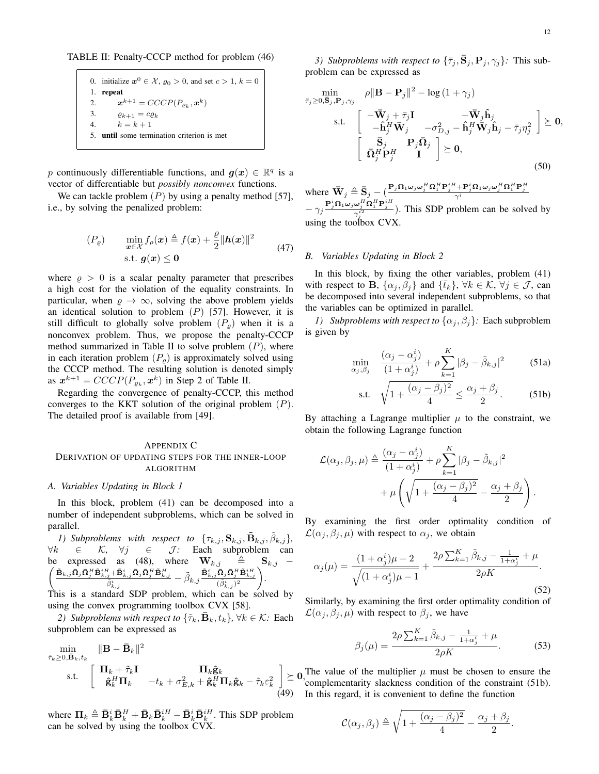TABLE II: Penalty-CCCP method for problem (46)

0. initialize  $x^0 \in \mathcal{X}$ ,  $\varrho_0 > 0$ , and set  $c > 1$ ,  $k = 0$ 1. repeat 2.  $\bm{x}^{k+1} = CCCP(P_{\varrho_k}, \bm{x}^k)$ 3.  $\varrho_{k+1} = c \varrho_k$ 4.  $k = k + 1$ 5. until some termination criterion is met

*p* continuously differentiable functions, and  $g(x) \in \mathbb{R}^q$  is a vector of differentiable but *possibly nonconvex* functions.

We can tackle problem  $(P)$  by using a penalty method [57], i.e., by solving the penalized problem:

$$
(P_{\varrho}) \qquad \min_{\boldsymbol{x} \in \mathcal{X}} f_{\rho}(\boldsymbol{x}) \triangleq f(\boldsymbol{x}) + \frac{\varrho}{2} ||\boldsymbol{h}(\boldsymbol{x})||^2
$$
  
s.t.  $\boldsymbol{g}(\boldsymbol{x}) \leq \mathbf{0}$  (47)

where  $\rho > 0$  is a scalar penalty parameter that prescribes a high cost for the violation of the equality constraints. In particular, when  $\rho \rightarrow \infty$ , solving the above problem yields an identical solution to problem (*P*) [57]. However, it is still difficult to globally solve problem  $(P_{\rho})$  when it is a nonconvex problem. Thus, we propose the penalty-CCCP method summarized in Table II to solve problem (*P*), where in each iteration problem  $(P<sub>o</sub>)$  is approximately solved using the CCCP method. The resulting solution is denoted simply as  $\mathbf{x}^{k+1} = CCCP(P_{\varrho_k}, \mathbf{x}^k)$  in Step 2 of Table II.

Regarding the convergence of penalty-CCCP, this method converges to the KKT solution of the original problem (*P*). The detailed proof is available from [49].

#### APPENDIX C

# DERIVATION OF UPDATING STEPS FOR THE INNER-LOOP ALGORITHM

#### *A. Variables Updating in Block 1*

In this block, problem (41) can be decomposed into a number of independent subproblems, which can be solved in parallel.

*1)* Subproblems with respect to  $\{\tau_{k,j}, \mathbf{S}_{k,j}, \tilde{\mathbf{B}}_{k,j}, \tilde{\beta}_{k,j}\},\$ *∀k ∈ K, ∀j ∈ J :* Each subproblem can  $\sqrt{2}$ be expressed as (48), where  $\mathbf{W}_{k,j}$   $\triangleq$   $\mathbf{S}_{k,j}$  –  $\frac{\tilde{\mathbf{B}}_{k,j}\bar{\mathbf{\Omega}}_j\bar{\mathbf{\Omega}}_j^H\tilde{\mathbf{B}}_{k,j}^{iH}\!+\!\tilde{\mathbf{B}}_{k,j}^i\bar{\mathbf{\Omega}}_j\bar{\mathbf{\Omega}}_j^H\tilde{\mathbf{B}}_{k,j}^H}{\tilde{\beta}^i_{k,j}}-\tilde{\beta}_{k,j}\frac{\tilde{\mathbf{B}}_{k,j}^i\bar{\mathbf{\Omega}}_j\bar{\mathbf{\Omega}}_j^H\tilde{\mathbf{B}}_{k,j}^{iH}}{(\tilde{\beta}^i_{k,j})^2}\bigg).$ 

This is a standard SDP problem, which can be solved by using the convex programming toolbox CVX [58].

*2)* Subproblems with respect to  ${\{\tilde{\tau}_k, \bar{\mathbf{B}}_k, t_k\}}$ ,  $\forall k \in \mathcal{K}$ : Each subproblem can be expressed as

$$
\min_{\tilde{\tau}_k \geq 0, \tilde{\mathbf{B}}_k, t_k} \frac{\|\mathbf{B} - \bar{\mathbf{B}}_k\|^2}{\|\mathbf{B}_k + \tilde{\tau}_k \mathbf{I}} \quad \text{and} \quad \mathbf{\Pi}_k \hat{\mathbf{g}}_k
$$
\ns.t. 
$$
\begin{bmatrix}\n\mathbf{\Pi}_k + \tilde{\tau}_k \mathbf{I} & \mathbf{\Pi}_k \hat{\mathbf{g}}_k \\
\hat{\mathbf{g}}_k^H \mathbf{\Pi}_k & -t_k + \sigma_{E,k}^2 + \hat{\mathbf{g}}_k^H \mathbf{\Pi}_k \hat{\mathbf{g}}_k - \tilde{\tau}_k \varepsilon_k^2\n\end{bmatrix} \succeq 0
$$
\n(49)

where  $\Pi_k \triangleq \bar{\mathbf{B}}_k^i \bar{\mathbf{B}}_k^H + \bar{\mathbf{B}}_k \bar{\mathbf{B}}_k^{iH} - \bar{\mathbf{B}}_k^i \bar{\mathbf{B}}_k^{iH}$ . This SDP problem can be solved by using the toolbox CVX.

*3)* Subproblems with respect to  ${\{\bar{\tau}_j, \mathbf{S}_j, \mathbf{P}_j, \gamma_j\}}$ . This subproblem can be expressed as

$$
\min_{\bar{\tau}_j \geq 0, \bar{\mathbf{S}}_j, \mathbf{P}_j, \gamma_j} \quad \rho \|\mathbf{B} - \mathbf{P}_j\|^2 - \log(1 + \gamma_j) \n\text{s.t.} \quad \begin{bmatrix} -\bar{\mathbf{W}}_j + \bar{\tau}_j \mathbf{I} & -\bar{\mathbf{W}}_j \hat{\mathbf{h}}_j \\ -\hat{\mathbf{h}}_j^H \bar{\mathbf{W}}_j & -\sigma_{D,j}^2 - \hat{\mathbf{h}}_j^H \bar{\mathbf{W}}_j \hat{\mathbf{h}}_j - \bar{\tau}_j \eta_j^2 \end{bmatrix} \succeq \mathbf{0}, \n\frac{\bar{\mathbf{S}}_j}{\bar{\mathbf{\Omega}}_j^H \mathbf{P}_j^H} \quad \mathbf{I} \quad \succeq \mathbf{0},
$$
\n(50)

where  $\bar{\mathbf{W}}_j \triangleq \bar{\mathbf{S}}_j - (\frac{\mathbf{P}_j \mathbf{\Omega}_1 \omega_j \omega_j^H \mathbf{\Omega}_1^H \mathbf{P}_j^{iH} + \mathbf{P}_j^i \mathbf{\Omega}_1 \omega_j \omega_j^H \mathbf{\Omega}_1^H \mathbf{P}_j^H}{\gamma^i}$  $-\gamma_j \frac{\mathbf{P}_j^i \Omega_1 \omega_j \omega_j^H \Omega_1^H \mathbf{P}_j^H}{\gamma_j^{i2}}$ ). This SDP problem can be solved by using the toolbox CVX.

## *B. Variables Updating in Block 2*

In this block, by fixing the other variables, problem (41) with respect to **B**,  $\{\alpha_j, \beta_j\}$  and  $\{\bar{t}_k\}$ ,  $\forall k \in \mathcal{K}$ ,  $\forall j \in \mathcal{J}$ , can be decomposed into several independent subproblems, so that the variables can be optimized in parallel.

*1)* Subproblems with respect to  $\{\alpha_j, \beta_j\}$ : Each subproblem is given by

$$
\min_{\alpha_j, \beta_j} \quad \frac{(\alpha_j - \alpha_j^i)}{(1 + \alpha_j^i)} + \rho \sum_{k=1}^K |\beta_j - \tilde{\beta}_{k,j}|^2 \tag{51a}
$$
\n
$$
\text{s.t.} \quad \sqrt{1 + \frac{(\alpha_j - \beta_j)^2}{4}} \le \frac{\alpha_j + \beta_j}{2}. \tag{51b}
$$

By attaching a Lagrange multiplier  $\mu$  to the constraint, we obtain the following Lagrange function

$$
\mathcal{L}(\alpha_j, \beta_j, \mu) \triangleq \frac{(\alpha_j - \alpha_j^i)}{(1 + \alpha_j^i)} + \rho \sum_{k=1}^K |\beta_j - \tilde{\beta}_{k,j}|^2
$$

$$
+ \mu \left( \sqrt{1 + \frac{(\alpha_j - \beta_j)^2}{4}} - \frac{\alpha_j + \beta_j}{2} \right).
$$

By examining the first order optimality condition of  $\mathcal{L}(\alpha_j, \beta_j, \mu)$  with respect to  $\alpha_j$ , we obtain

$$
\alpha_j(\mu) = \frac{(1+\alpha_j^i)\mu - 2}{\sqrt{(1+\alpha_j^i)\mu - 1}} + \frac{2\rho \sum_{k=1}^K \tilde{\beta}_{k,j} - \frac{1}{1+\alpha_j^i} + \mu}{2\rho K}.
$$
\n(52)

Similarly, by examining the first order optimality condition of  $\mathcal{L}(\alpha_j, \beta_j, \mu)$  with respect to  $\beta_j$ , we have

$$
\beta_j(\mu) = \frac{2\rho \sum_{k=1}^{K} \tilde{\beta}_{k,j} - \frac{1}{1 + \alpha_j^*} + \mu}{2\rho K}.
$$
 (53)

 $\geq 0$ , The value of the multiplier  $\mu$  must be chosen to ensure the complementarity slackness condition of the constraint (51b). In this regard, it is convenient to define the function

$$
\mathcal{C}(\alpha_j, \beta_j) \triangleq \sqrt{1 + \frac{(\alpha_j - \beta_j)^2}{4}} - \frac{\alpha_j + \beta_j}{2}.
$$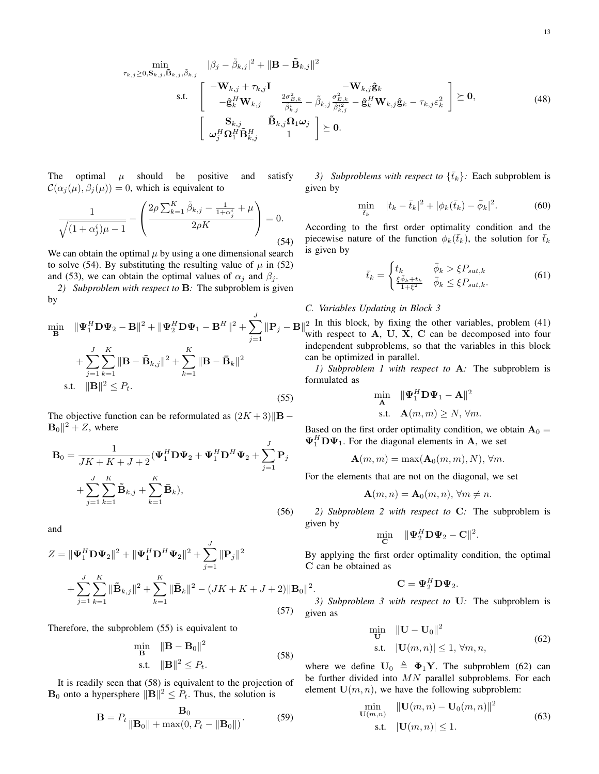$$
\min_{\tau_{k,j}\geq 0,\mathbf{S}_{k,j},\tilde{\mathbf{B}}_{k,j},\tilde{\beta}_{k,j}} \frac{|\beta_j - \tilde{\beta}_{k,j}|^2 + \|\mathbf{B} - \tilde{\mathbf{B}}_{k,j}\|^2}{\mathbf{S}_{k}!} \n\quad \text{s.t.} \quad \begin{bmatrix}\n-\mathbf{W}_{k,j} + \tau_{k,j}\mathbf{I} & -\mathbf{W}_{k,j}\hat{\mathbf{g}}_k \\
-\hat{\mathbf{g}}_k^H \mathbf{W}_{k,j} & \frac{2\sigma_{E,k}^2}{\tilde{\beta}_{k,j}^2} - \tilde{\beta}_{k,j}\frac{\sigma_{E,k}^2}{\tilde{\beta}_{k,j}^{i2}} - \hat{\mathbf{g}}_k^H \mathbf{W}_{k,j}\hat{\mathbf{g}}_k - \tau_{k,j}\varepsilon_k^2 \\
\vdots & \vdots & \ddots\n\end{bmatrix} \succeq \mathbf{0},
$$
\n
$$
\begin{bmatrix}\n\mathbf{S}_{k,j} & \tilde{\mathbf{B}}_{k,j}\Omega_1\omega_j \\
\omega_j^H \Omega_1^H \tilde{\mathbf{B}}_{k,j}^H & 1\n\end{bmatrix} \succeq \mathbf{0}.
$$
\n(48)

The optimal  $\mu$  should be positive and satisfy  $\mathcal{C}(\alpha_i(\mu), \beta_i(\mu)) = 0$ , which is equivalent to

$$
\frac{1}{\sqrt{(1+\alpha_j^i)\mu - 1}} - \left(\frac{2\rho \sum_{k=1}^K \tilde{\beta}_{k,j} - \frac{1}{1+\alpha_j^i} + \mu}{2\rho K}\right) = 0.
$$
\n(54)

We can obtain the optimal  $\mu$  by using a one dimensional search to solve (54). By substituting the resulting value of  $\mu$  in (52) and (53), we can obtain the optimal values of  $\alpha_j$  and  $\beta_j$ .

*2) Subproblem with respect to* **B***:* The subproblem is given by

$$
\min_{\mathbf{B}} \quad \|\mathbf{\Psi}_{1}^{H} \mathbf{D} \mathbf{\Psi}_{2} - \mathbf{B} \|^{2} + \|\mathbf{\Psi}_{2}^{H} \mathbf{D} \mathbf{\Psi}_{1} - \mathbf{B}^{H} \|^{2} + \sum_{j=1}^{J} \|\mathbf{P}_{j} - \mathbf{E} \|^{2}
$$

$$
+ \sum_{j=1}^{J} \sum_{k=1}^{K} \|\mathbf{B} - \tilde{\mathbf{B}}_{k,j} \|^{2} + \sum_{k=1}^{K} \|\mathbf{B} - \bar{\mathbf{B}}_{k} \|^{2}
$$
s.t. 
$$
\|\mathbf{B} \|^{2} \leq P_{t}.
$$
 (55)

The objective function can be reformulated as (2*K* + 3)*∥***B** *−*  $\mathbf{B}_0\parallel^2 + Z$ , where

$$
\mathbf{B}_0 = \frac{1}{JK + K + J + 2} (\mathbf{\Psi}_1^H \mathbf{D} \mathbf{\Psi}_2 + \mathbf{\Psi}_1^H \mathbf{D}^H \mathbf{\Psi}_2 + \sum_{j=1}^J \mathbf{P}_j
$$
  
+ 
$$
\sum_{j=1}^J \sum_{k=1}^K \tilde{\mathbf{B}}_{k,j} + \sum_{k=1}^K \bar{\mathbf{B}}_k,
$$
 (56)

and

$$
Z = \|\Psi_1^H \mathbf{D} \Psi_2\|^2 + \|\Psi_1^H \mathbf{D}^H \Psi_2\|^2 + \sum_{j=1}^J \|\mathbf{P}_j\|^2
$$
  
+ 
$$
\sum_{j=1}^J \sum_{k=1}^K \|\tilde{\mathbf{B}}_{k,j}\|^2 + \sum_{k=1}^K \|\bar{\mathbf{B}}_k\|^2 - (JK + K + J + 2)\|\mathbf{B}_0\|
$$
  
(57)

Therefore, the subproblem (55) is equivalent to

$$
\min_{\mathbf{B}} \quad \|\mathbf{B} - \mathbf{B}_0\|^2
$$
  
s.t. 
$$
\|\mathbf{B}\|^2 \le P_t.
$$
 (58)

2 *.*

It is readily seen that (58) is equivalent to the projection of **B**<sub>0</sub> onto a hypersphere  $||\mathbf{B}||^2 \leq P_t$ . Thus, the solution is

$$
\mathbf{B} = P_t \frac{\mathbf{B}_0}{\|\mathbf{B}_0\| + \max(0, P_t - \|\mathbf{B}_0\|)}.
$$
 (59)

*3)* Subproblems with respect to  ${\{\bar{t}_k\}}$ : Each subproblem is given by

$$
\min_{\bar{t}_k} \quad |t_k - \bar{t}_k|^2 + |\phi_k(\bar{t}_k) - \bar{\phi}_k|^2. \tag{60}
$$

According to the first order optimality condition and the piecewise nature of the function  $\phi_k(\bar{t}_k)$ , the solution for  $\bar{t}_k$ is given by

$$
\bar{t}_k = \begin{cases} t_k & \bar{\phi}_k > \xi P_{sat,k} \\ \frac{\xi \bar{\phi}_k + t_k}{1 + \xi^2} & \bar{\phi}_k \le \xi P_{sat,k}. \end{cases} \tag{61}
$$

# *C. Variables Updating in Block 3*

 $\|\mathbf{P}_j - \mathbf{B}\|^2$  In this block, by fixing the other variables, problem (41) with respect to **A**, **U**, **X**, **C** can be decomposed into four independent subproblems, so that the variables in this block can be optimized in parallel.

> *1) Subproblem 1 with respect to* **A***:* The subproblem is formulated as

$$
\min_{\mathbf{A}} \quad \|\mathbf{\Psi}_1^H \mathbf{D} \mathbf{\Psi}_1 - \mathbf{A}\|^2
$$
  
s.t.  $\mathbf{A}(m, m) \ge N, \forall m.$ 

Based on the first order optimality condition, we obtain  $A_0 =$  $\Psi_1^H \mathbf{D} \Psi_1$ . For the diagonal elements in **A**, we set

$$
\mathbf{A}(m,m) = \max(\mathbf{A}_0(m,m), N), \forall m.
$$

For the elements that are not on the diagonal, we set

$$
\mathbf{A}(m,n) = \mathbf{A}_0(m,n), \forall m \neq n.
$$

*2) Subproblem 2 with respect to* **C***:* The subproblem is given by

$$
\min_{\mathbf{C}} \quad \|\mathbf{\Psi}_2^H \mathbf{D} \mathbf{\Psi}_2 - \mathbf{C}\|^2.
$$

By applying the first order optimality condition, the optimal **C** can be obtained as

$$
\mathbf{C} = \mathbf{\Psi}_2^H \mathbf{D} \mathbf{\Psi}_2.
$$

*3) Subproblem 3 with respect to* **U***:* The subproblem is given as

$$
\min_{\mathbf{U}} \quad \|\mathbf{U} - \mathbf{U}_0\|^2
$$
\n
$$
\text{s.t.} \quad |\mathbf{U}(m, n)| \le 1, \forall m, n,
$$
\n(62)

where we define  $U_0 \triangleq \Phi_1 Y$ . The subproblem (62) can be further divided into *MN* parallel subproblems. For each element  $U(m, n)$ , we have the following subproblem:

$$
\min_{\mathbf{U}(m,n)} \quad \|\mathbf{U}(m,n) - \mathbf{U}_0(m,n)\|^2
$$
\ns.t.

\n
$$
|\mathbf{U}(m,n)| \leq 1.
$$
\n(63)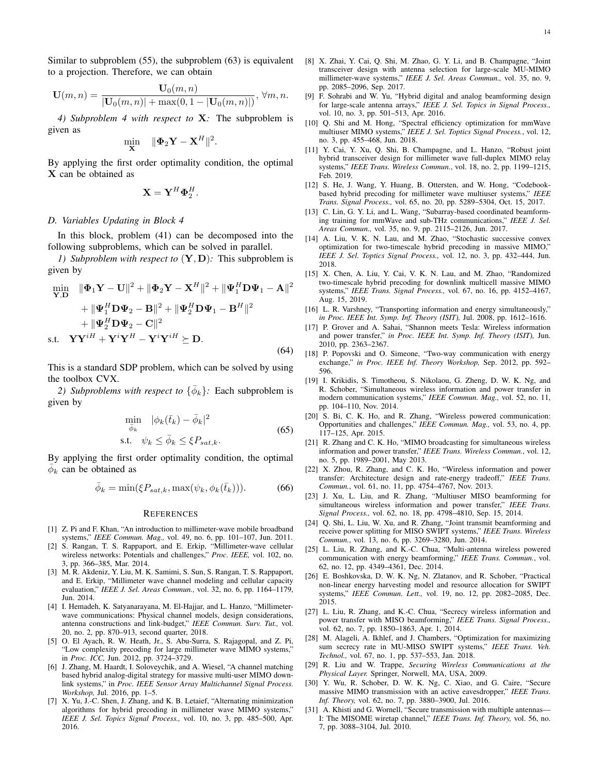Similar to subproblem (55), the subproblem (63) is equivalent to a projection. Therefore, we can obtain

$$
\mathbf{U}(m,n) = \frac{\mathbf{U}_0(m,n)}{|\mathbf{U}_0(m,n)| + \max(0, 1 - |\mathbf{U}_0(m,n)|)}, \ \forall m, n.
$$

*4) Subproblem 4 with respect to* **X***:* The subproblem is given as

$$
\min_{\mathbf{X}} \quad \|\mathbf{\Phi}_2 \mathbf{Y} - \mathbf{X}^H\|^2.
$$

By applying the first order optimality condition, the optimal **X** can be obtained as

$$
\mathbf{X} = \mathbf{Y}^H \mathbf{\Phi}_2^H.
$$

## *D. Variables Updating in Block 4*

In this block, problem (41) can be decomposed into the following subproblems, which can be solved in parallel.

*1) Subproblem with respect to* (**Y***,* **D**)*:* This subproblem is given by

$$
\min_{\mathbf{Y}, \mathbf{D}} \quad \|\mathbf{\Phi}_1 \mathbf{Y} - \mathbf{U}\|^2 + \|\mathbf{\Phi}_2 \mathbf{Y} - \mathbf{X}^H\|^2 + \|\mathbf{\Psi}_1^H \mathbf{D} \mathbf{\Psi}_1 - \mathbf{A}\|^2 \n+ \|\mathbf{\Psi}_1^H \mathbf{D} \mathbf{\Psi}_2 - \mathbf{B}\|^2 + \|\mathbf{\Psi}_2^H \mathbf{D} \mathbf{\Psi}_1 - \mathbf{B}^H\|^2 \n+ \|\mathbf{\Psi}_2^H \mathbf{D} \mathbf{\Psi}_2 - \mathbf{C}\|^2 \ns.t. \quad \mathbf{Y} \mathbf{Y}^{iH} + \mathbf{Y}^i \mathbf{Y}^H - \mathbf{Y}^i \mathbf{Y}^{iH} \succeq \mathbf{D}.
$$
\n(64)

This is a standard SDP problem, which can be solved by using the toolbox CVX.

2) Subproblems with respect to  $\{\bar{\phi}_k\}$ : Each subproblem is given by

$$
\min_{\bar{\phi}_k} \quad |\phi_k(\bar{t}_k) - \bar{\phi}_k|^2
$$
\n
$$
\text{s.t.} \quad \psi_k \le \bar{\phi}_k \le \xi P_{sat,k}.\tag{65}
$$

By applying the first order optimality condition, the optimal  $\bar{\phi}_k$  can be obtained as

$$
\bar{\phi}_k = \min(\xi P_{sat,k}, \max(\psi_k, \phi_k(\bar{t}_k))).\tag{66}
$$

#### **REFERENCES**

- [1] Z. Pi and F. Khan, "An introduction to millimeter-wave mobile broadband systems," *IEEE Commun. Mag.,* vol. 49, no. 6, pp. 101–107, Jun. 2011.
- [2] S. Rangan, T. S. Rappaport, and E. Erkip, "Millimeter-wave cellular wireless networks: Potentials and challenges," *Proc. IEEE,* vol. 102, no. 3, pp. 366–385, Mar. 2014.
- [3] M. R. Akdeniz, Y. Liu, M. K. Samimi, S. Sun, S. Rangan, T. S. Rappaport, and E. Erkip, "Millimeter wave channel modeling and cellular capacity evaluation," *IEEE J. Sel. Areas Commun.,* vol. 32, no. 6, pp. 1164–1179, Jun. 2014.
- [4] I. Hemadeh, K. Satyanarayana, M. El-Hajjar, and L. Hanzo, "Millimeterwave communications: Physical channel models, design considerations, antenna constructions and link-budget," *IEEE Commun. Surv. Tut.,* vol. 20, no. 2, pp. 870–913, second quarter, 2018.
- [5] O. El Ayach, R. W. Heath, Jr., S. Abu-Surra, S. Rajagopal, and Z. Pi, "Low complexity precoding for large millimeter wave MIMO systems," in *Proc. ICC,* Jun. 2012, pp. 3724–3729.
- [6] J. Zhang, M. Haardt, I. Soloveychik, and A. Wiesel, "A channel matching based hybrid analog-digital strategy for massive multi-user MIMO downlink systems," in *Proc. IEEE Sensor Array Multichannel Signal Process. Workshop,* Jul. 2016, pp. 1–5.
- [7] X. Yu, J.-C. Shen, J. Zhang, and K. B. Letaief, "Alternating minimization algorithms for hybrid precoding in millimeter wave MIMO systems," *IEEE J. Sel. Topics Signal Process.,* vol. 10, no. 3, pp. 485–500, Apr. 2016.
- [8] X. Zhai, Y. Cai, Q. Shi, M. Zhao, G. Y. Li, and B. Champagne, "Joint transceiver design with antenna selection for large-scale MU-MIMO millimeter-wave systems," *IEEE J. Sel. Areas Commun.,* vol. 35, no. 9, pp. 2085–2096, Sep. 2017.
- [9] F. Sohrabi and W. Yu, "Hybrid digital and analog beamforming design for large-scale antenna arrays," *IEEE J. Sel. Topics in Signal Process.,* vol. 10, no. 3, pp. 501–513, Apr. 2016.
- [10] Q. Shi and M. Hong, "Spectral efficiency optimization for mmWave multiuser MIMO systems," *IEEE J. Sel. Toptics Signal Process.*, vol. 12, no. 3, pp. 455–468, Jun. 2018.
- [11] Y. Cai, Y. Xu, Q. Shi, B. Champagne, and L. Hanzo, "Robust joint hybrid transceiver design for millimeter wave full-duplex MIMO relay systems," *IEEE Trans. Wireless Commun.*, vol. 18, no. 2, pp. 1199–1215, Feb. 2019.
- [12] S. He, J. Wang, Y. Huang, B. Ottersten, and W. Hong, "Codebookbased hybrid precoding for millimeter wave multiuser systems," *IEEE Trans. Signal Process.,* vol. 65, no. 20, pp. 5289–5304, Oct. 15, 2017.
- [13] C. Lin, G. Y. Li, and L. Wang, "Subarray-based coordinated beamforming training for mmWave and sub-THz communications," *IEEE J. Sel. Areas Commun.,* vol. 35, no. 9, pp. 2115–2126, Jun. 2017.
- [14] A. Liu, V. K. N. Lau, and M. Zhao, "Stochastic successive convex optimization for two-timescale hybrid precoding in massive MIMO," *IEEE J. Sel. Toptics Signal Process.,* vol. 12, no. 3, pp. 432–444, Jun. 2018.
- [15] X. Chen, A. Liu, Y. Cai, V. K. N. Lau, and M. Zhao, "Randomized two-timescale hybrid precoding for downlink multicell massive MIMO systems," *IEEE Trans. Signal Process.,* vol. 67, no. 16, pp. 4152–4167, Aug. 15, 2019.
- [16] L. R. Varshney, "Transporting information and energy simultaneously," *in Proc. IEEE Int. Symp. Inf. Theory (ISIT),* Jul. 2008, pp. 1612–1616.
- [17] P. Grover and A. Sahai, "Shannon meets Tesla: Wireless information and power transfer," *in Proc. IEEE Int. Symp. Inf. Theory (ISIT),* Jun. 2010, pp. 2363–2367.
- [18] P. Popovski and O. Simeone, "Two-way communication with energy exchange," *in Proc. IEEE Inf. Theory Workshop,* Sep. 2012, pp. 592– 596.
- [19] I. Krikidis, S. Timotheou, S. Nikolaou, G. Zheng, D. W. K. Ng, and R. Schober, "Simultaneous wireless information and power transfer in modern communication systems," *IEEE Commun. Mag.,* vol. 52, no. 11, pp. 104–110, Nov. 2014.
- [20] S. Bi, C. K. Ho, and R. Zhang, "Wireless powered communication: Opportunities and challenges," *IEEE Commun. Mag.,* vol. 53, no. 4, pp. 117–125, Apr. 2015.
- [21] R. Zhang and C. K. Ho, "MIMO broadcasting for simultaneous wireless information and power transfer," *IEEE Trans. Wireless Commun.*, vol. 12, no. 5, pp. 1989–2001, May 2013.
- [22] X. Zhou, R. Zhang, and C. K. Ho, "Wireless information and power transfer: Architecture design and rate-energy tradeoff," *IEEE Trans. Commun.*, vol. 61, no. 11, pp. 4754–4767, Nov. 2013.
- [23] J. Xu, L. Liu, and R. Zhang, "Multiuser MISO beamforming for simultaneous wireless information and power transfer," *IEEE Trans. Signal Process.,* vol. 62, no. 18, pp. 4798–4810, Sep. 15, 2014.
- [24] Q. Shi, L. Liu, W. Xu, and R. Zhang, "Joint transmit beamforming and receive power splitting for MISO SWIPT systems," *IEEE Trans. Wireless Commun.*, vol. 13, no. 6, pp. 3269–3280, Jun. 2014.
- [25] L. Liu, R. Zhang, and K.-C. Chua, "Multi-antenna wireless powered communication with energy beamforming," *IEEE Trans. Commun.*, vol. 62, no. 12, pp. 4349–4361, Dec. 2014.
- [26] E. Boshkovska, D. W. K. Ng, N. Zlatanov, and R. Schober, "Practical non-linear energy harvesting model and resource allocation for SWIPT systems," *IEEE Commun. Lett.,* vol. 19, no. 12, pp. 2082–2085, Dec. 2015.
- [27] L. Liu, R. Zhang, and K.-C. Chua, "Secrecy wireless information and power transfer with MISO beamforming," *IEEE Trans. Signal Process.,* vol. 62, no. 7, pp. 1850–1863, Apr. 1, 2014.
- [28] M. Alageli, A. Ikhlef, and J. Chambers, "Optimization for maximizing sum secrecy rate in MU-MISO SWIPT systems," *IEEE Trans. Veh. Technol.,* vol. 67, no. 1, pp. 537–553, Jan. 2018.
- [29] R. Liu and W. Trappe, *Securing Wireless Communications at the Physical Layer.* Springer, Norwell, MA, USA, 2009.
- [30] Y. Wu, R. Schober, D. W. K. Ng, C. Xiao, and G. Caire, "Secure massive MIMO transmission with an active eavesdropper," *IEEE Trans. Inf. Theory,* vol. 62, no. 7, pp. 3880–3900, Jul. 2016.
- [31] A. Khisti and G. Wornell, "Secure transmission with multiple antennas— I: The MISOME wiretap channel," *IEEE Trans. Inf. Theory,* vol. 56, no. 7, pp. 3088–3104, Jul. 2010.